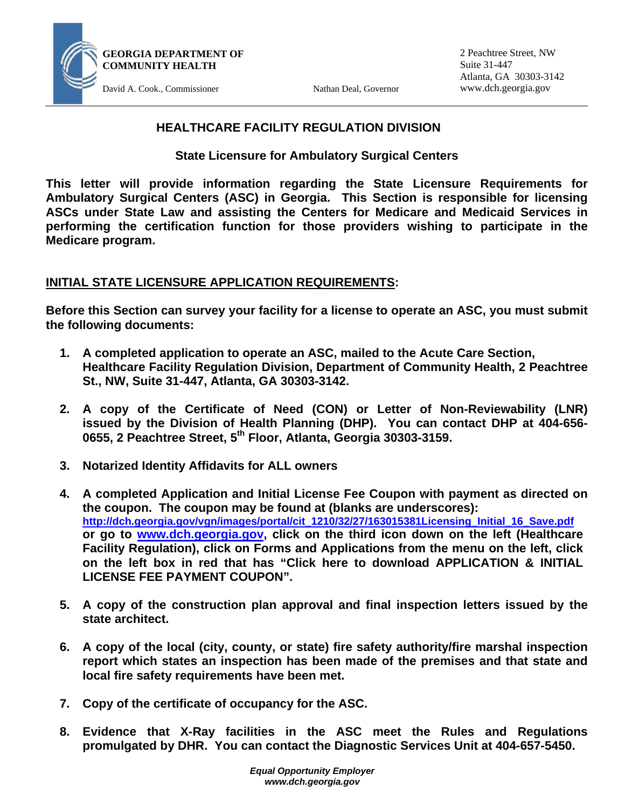

2 Peachtree Street, NW Suite 31-447 Atlanta, GA 30303-3142 www.dch.georgia.gov

# **HEALTHCARE FACILITY REGULATION DIVISION**

**State Licensure for Ambulatory Surgical Centers** 

**This letter will provide information regarding the State Licensure Requirements for Ambulatory Surgical Centers (ASC) in Georgia. This Section is responsible for licensing ASCs under State Law and assisting the Centers for Medicare and Medicaid Services in performing the certification function for those providers wishing to participate in the Medicare program.** 

# **INITIAL STATE LICENSURE APPLICATION REQUIREMENTS:**

**Before this Section can survey your facility for a license to operate an ASC, you must submit the following documents:** 

- **1. A completed application to operate an ASC, mailed to the Acute Care Section, Healthcare Facility Regulation Division, Department of Community Health, 2 Peachtree St., NW, Suite 31-447, Atlanta, GA 30303-3142.**
- **2. A copy of the Certificate of Need (CON) or Letter of Non-Reviewability (LNR) issued by the Division of Health Planning (DHP). You can contact DHP at 404-656- 0655, 2 Peachtree Street, 5th Floor, Atlanta, Georgia 30303-3159.**
- **3. Notarized Identity Affidavits for ALL owners**
- **4. A completed Application and Initial License Fee Coupon with payment as directed on the coupon. The coupon may be found at (blanks are underscores): http://dch.georgia.gov/vgn/images/portal/cit\_1210/32/27/163015381Licensing\_Initial\_16\_Save.pdf or go to www.dch.georgia.gov, click on the third icon down on the left (Healthcare Facility Regulation), click on Forms and Applications from the menu on the left, click on the left box in red that has "Click here to download APPLICATION & INITIAL LICENSE FEE PAYMENT COUPON".**
- **5. A copy of the construction plan approval and final inspection letters issued by the state architect.**
- **6. A copy of the local (city, county, or state) fire safety authority/fire marshal inspection report which states an inspection has been made of the premises and that state and local fire safety requirements have been met.**
- **7. Copy of the certificate of occupancy for the ASC.**
- **8. Evidence that X-Ray facilities in the ASC meet the Rules and Regulations promulgated by DHR. You can contact the Diagnostic Services Unit at 404-657-5450.**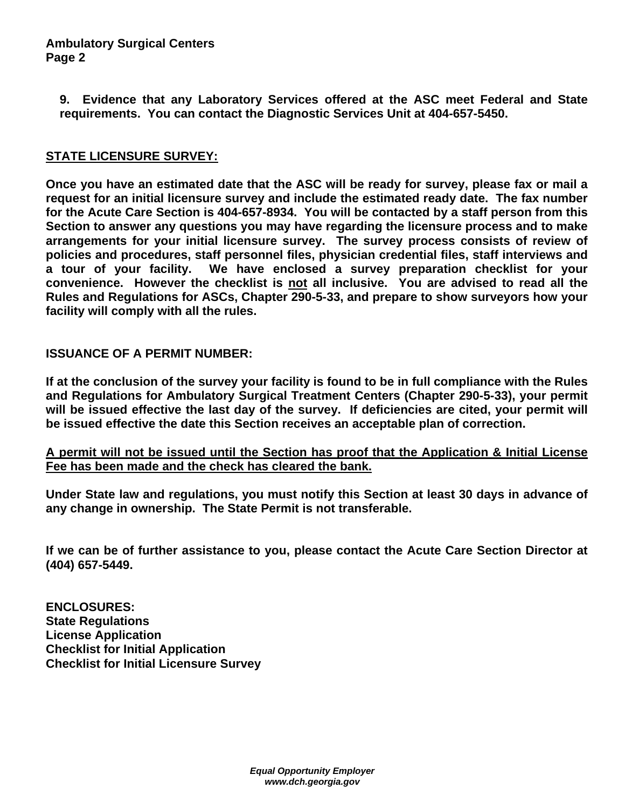# **Ambulatory Surgical Centers Page 2**

**9. Evidence that any Laboratory Services offered at the ASC meet Federal and State requirements. You can contact the Diagnostic Services Unit at 404-657-5450.** 

# **STATE LICENSURE SURVEY:**

**Once you have an estimated date that the ASC will be ready for survey, please fax or mail a request for an initial licensure survey and include the estimated ready date. The fax number for the Acute Care Section is 404-657-8934. You will be contacted by a staff person from this Section to answer any questions you may have regarding the licensure process and to make arrangements for your initial licensure survey. The survey process consists of review of policies and procedures, staff personnel files, physician credential files, staff interviews and a tour of your facility. We have enclosed a survey preparation checklist for your convenience. However the checklist is not all inclusive. You are advised to read all the Rules and Regulations for ASCs, Chapter 290-5-33, and prepare to show surveyors how your facility will comply with all the rules.** 

# **ISSUANCE OF A PERMIT NUMBER:**

**If at the conclusion of the survey your facility is found to be in full compliance with the Rules and Regulations for Ambulatory Surgical Treatment Centers (Chapter 290-5-33), your permit will be issued effective the last day of the survey. If deficiencies are cited, your permit will be issued effective the date this Section receives an acceptable plan of correction.**

**A permit will not be issued until the Section has proof that the Application & Initial License Fee has been made and the check has cleared the bank.**

**Under State law and regulations, you must notify this Section at least 30 days in advance of any change in ownership. The State Permit is not transferable.** 

**If we can be of further assistance to you, please contact the Acute Care Section Director at (404) 657-5449.** 

**ENCLOSURES: State Regulations License Application Checklist for Initial Application Checklist for Initial Licensure Survey**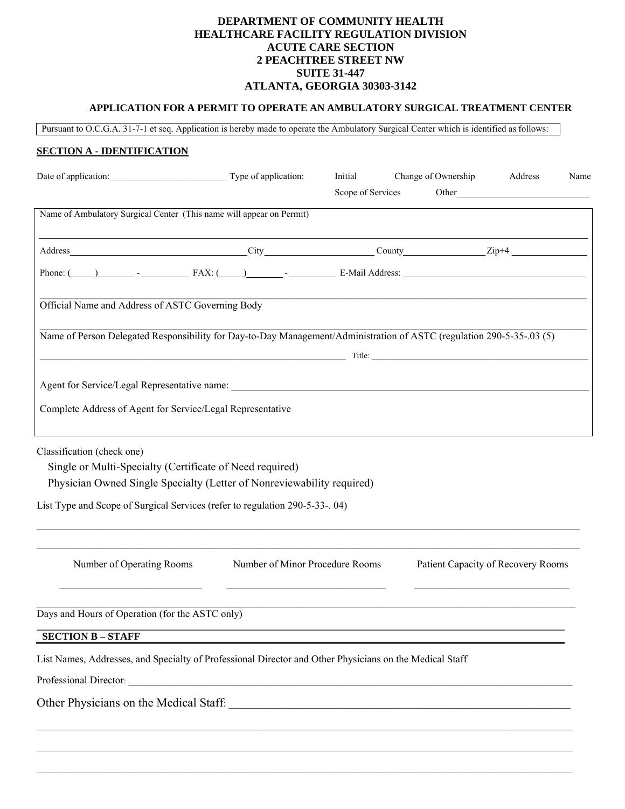#### **DEPARTMENT OF COMMUNITY HEALTH HEALTHCARE FACILITY REGULATION DIVISION ACUTE CARE SECTION 2 PEACHTREE STREET NW SUITE 31-447 ATLANTA, GEORGIA 30303-3142**

## **APPLICATION FOR A PERMIT TO OPERATE AN AMBULATORY SURGICAL TREATMENT CENTER**

Pursuant to O.C.G.A. 31-7-1 et seq. Application is hereby made to operate the Ambulatory Surgical Center which is identified as follows:

#### **SECTION A - IDENTIFICATION**

| Date of application: Type of application:                                                                                                                                                                                                                                                                             |                                                         | Initial<br>Scope of Services | Change of Ownership | Address<br>Other <u>discussed</u>  | Name |
|-----------------------------------------------------------------------------------------------------------------------------------------------------------------------------------------------------------------------------------------------------------------------------------------------------------------------|---------------------------------------------------------|------------------------------|---------------------|------------------------------------|------|
| Name of Ambulatory Surgical Center (This name will appear on Permit)                                                                                                                                                                                                                                                  |                                                         |                              |                     |                                    |      |
|                                                                                                                                                                                                                                                                                                                       |                                                         |                              |                     |                                    |      |
| Phone: $\frac{1}{1}$ $\frac{1}{1}$ $\frac{1}{1}$ $\frac{1}{1}$ $\frac{1}{1}$ $\frac{1}{1}$ $\frac{1}{1}$ $\frac{1}{1}$ $\frac{1}{1}$ $\frac{1}{1}$ $\frac{1}{1}$ $\frac{1}{1}$ $\frac{1}{1}$ $\frac{1}{1}$ $\frac{1}{1}$ $\frac{1}{1}$ $\frac{1}{1}$ $\frac{1}{1}$ $\frac{1}{1}$ $\frac{1}{1}$ $\frac{1}{1}$ $\frac{$ |                                                         |                              |                     |                                    |      |
| Official Name and Address of ASTC Governing Body                                                                                                                                                                                                                                                                      |                                                         |                              |                     |                                    |      |
| Name of Person Delegated Responsibility for Day-to-Day Management/Administration of ASTC (regulation 290-5-35-03 (5)                                                                                                                                                                                                  |                                                         |                              |                     |                                    |      |
|                                                                                                                                                                                                                                                                                                                       | $Title:$ Title: $Title:$ Title: $Title:$ Title: $T = 1$ |                              |                     |                                    |      |
|                                                                                                                                                                                                                                                                                                                       |                                                         |                              |                     |                                    |      |
| Complete Address of Agent for Service/Legal Representative                                                                                                                                                                                                                                                            |                                                         |                              |                     |                                    |      |
| Classification (check one)<br>Single or Multi-Specialty (Certificate of Need required)<br>Physician Owned Single Specialty (Letter of Nonreviewability required)                                                                                                                                                      |                                                         |                              |                     |                                    |      |
| List Type and Scope of Surgical Services (refer to regulation 290-5-33-. 04)                                                                                                                                                                                                                                          |                                                         |                              |                     |                                    |      |
| Number of Operating Rooms                                                                                                                                                                                                                                                                                             | Number of Minor Procedure Rooms                         |                              |                     | Patient Capacity of Recovery Rooms |      |
| Days and Hours of Operation (for the ASTC only)                                                                                                                                                                                                                                                                       |                                                         |                              |                     |                                    |      |
| <b>SECTION B - STAFF</b>                                                                                                                                                                                                                                                                                              |                                                         |                              |                     |                                    |      |
| List Names, Addresses, and Specialty of Professional Director and Other Physicians on the Medical Staff                                                                                                                                                                                                               |                                                         |                              |                     |                                    |      |
|                                                                                                                                                                                                                                                                                                                       |                                                         |                              |                     |                                    |      |
| Other Physicians on the Medical Staff:                                                                                                                                                                                                                                                                                |                                                         |                              |                     |                                    |      |

 $\mathcal{L}_\text{max} = \mathcal{L}_\text{max} = \mathcal{L}_\text{max} = \mathcal{L}_\text{max} = \mathcal{L}_\text{max} = \mathcal{L}_\text{max} = \mathcal{L}_\text{max} = \mathcal{L}_\text{max} = \mathcal{L}_\text{max} = \mathcal{L}_\text{max} = \mathcal{L}_\text{max} = \mathcal{L}_\text{max} = \mathcal{L}_\text{max} = \mathcal{L}_\text{max} = \mathcal{L}_\text{max} = \mathcal{L}_\text{max} = \mathcal{L}_\text{max} = \mathcal{L}_\text{max} = \mathcal{$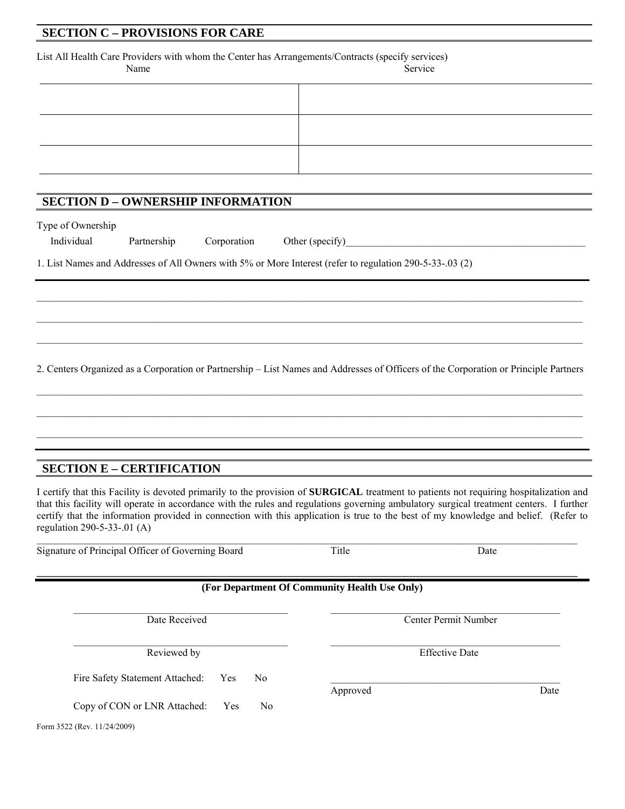### **SECTION C – PROVISIONS FOR CARE**

List All Health Care Providers with whom the Center has Arrangements/Contracts (specify services) Name Service Service Service

| - - - - - - - - | $     -$ |
|-----------------|----------|
|                 |          |
|                 |          |
|                 |          |
|                 |          |
|                 |          |
|                 |          |
|                 |          |

## **SECTION D – OWNERSHIP INFORMATION**

| Type of Ownership |                         |                 |
|-------------------|-------------------------|-----------------|
| Individual        | Partnership Corporation | Other (specify) |

1. List Names and Addresses of All Owners with 5% or More Interest (refer to regulation 290-5-33-.03 (2)

2. Centers Organized as a Corporation or Partnership – List Names and Addresses of Officers of the Corporation or Principle Partners

 $\mathcal{L}_\mathcal{L} = \{ \mathcal{L}_\mathcal{L} = \{ \mathcal{L}_\mathcal{L} = \{ \mathcal{L}_\mathcal{L} = \{ \mathcal{L}_\mathcal{L} = \{ \mathcal{L}_\mathcal{L} = \{ \mathcal{L}_\mathcal{L} = \{ \mathcal{L}_\mathcal{L} = \{ \mathcal{L}_\mathcal{L} = \{ \mathcal{L}_\mathcal{L} = \{ \mathcal{L}_\mathcal{L} = \{ \mathcal{L}_\mathcal{L} = \{ \mathcal{L}_\mathcal{L} = \{ \mathcal{L}_\mathcal{L} = \{ \mathcal{L}_\mathcal{$ 

 $\mathcal{L}_\mathcal{L} = \{ \mathcal{L}_\mathcal{L} = \{ \mathcal{L}_\mathcal{L} = \{ \mathcal{L}_\mathcal{L} = \{ \mathcal{L}_\mathcal{L} = \{ \mathcal{L}_\mathcal{L} = \{ \mathcal{L}_\mathcal{L} = \{ \mathcal{L}_\mathcal{L} = \{ \mathcal{L}_\mathcal{L} = \{ \mathcal{L}_\mathcal{L} = \{ \mathcal{L}_\mathcal{L} = \{ \mathcal{L}_\mathcal{L} = \{ \mathcal{L}_\mathcal{L} = \{ \mathcal{L}_\mathcal{L} = \{ \mathcal{L}_\mathcal{$ 

 $\mathcal{L}_\text{max} = \frac{1}{2} \sum_{i=1}^n \mathcal{L}_\text{max} = \frac{1}{2} \sum_{i=1}^n \mathcal{L}_\text{max} = \frac{1}{2} \sum_{i=1}^n \mathcal{L}_\text{max} = \frac{1}{2} \sum_{i=1}^n \mathcal{L}_\text{max} = \frac{1}{2} \sum_{i=1}^n \mathcal{L}_\text{max} = \frac{1}{2} \sum_{i=1}^n \mathcal{L}_\text{max} = \frac{1}{2} \sum_{i=1}^n \mathcal{L}_\text{max} = \frac{1}{2} \sum_{i=$ 

 $\mathcal{L}_\mathcal{L} = \{ \mathcal{L}_\mathcal{L} = \{ \mathcal{L}_\mathcal{L} = \{ \mathcal{L}_\mathcal{L} = \{ \mathcal{L}_\mathcal{L} = \{ \mathcal{L}_\mathcal{L} = \{ \mathcal{L}_\mathcal{L} = \{ \mathcal{L}_\mathcal{L} = \{ \mathcal{L}_\mathcal{L} = \{ \mathcal{L}_\mathcal{L} = \{ \mathcal{L}_\mathcal{L} = \{ \mathcal{L}_\mathcal{L} = \{ \mathcal{L}_\mathcal{L} = \{ \mathcal{L}_\mathcal{L} = \{ \mathcal{L}_\mathcal{$ 

# **SECTION E – CERTIFICATION**

I certify that this Facility is devoted primarily to the provision of **SURGICAL** treatment to patients not requiring hospitalization and that this facility will operate in accordance with the rules and regulations governing ambulatory surgical treatment centers. I further certify that the information provided in connection with this application is true to the best of my knowledge and belief. (Refer to regulation 290-5-33-.01 (A)

Signature of Principal Officer of Governing Board Title Title Date

#### **(For Department Of Community Health Use Only)**

 $\mathcal{L}_\mathcal{L} = \mathcal{L}_\mathcal{L} = \mathcal{L}_\mathcal{L} = \mathcal{L}_\mathcal{L} = \mathcal{L}_\mathcal{L} = \mathcal{L}_\mathcal{L} = \mathcal{L}_\mathcal{L} = \mathcal{L}_\mathcal{L} = \mathcal{L}_\mathcal{L} = \mathcal{L}_\mathcal{L} = \mathcal{L}_\mathcal{L} = \mathcal{L}_\mathcal{L} = \mathcal{L}_\mathcal{L} = \mathcal{L}_\mathcal{L} = \mathcal{L}_\mathcal{L} = \mathcal{L}_\mathcal{L} = \mathcal{L}_\mathcal{L}$ 

Date Received **Center Permit Number** 

Reviewed by Effective Date

Fire Safety Statement Attached: Yes No

Copy of CON or LNR Attached: Yes No

Form 3522 (Rev. 11/24/2009)

Approved Date Date

 $\mathcal{L}_\text{max} = \mathcal{L}_\text{max} = \mathcal{L}_\text{max} = \mathcal{L}_\text{max} = \mathcal{L}_\text{max} = \mathcal{L}_\text{max} = \mathcal{L}_\text{max} = \mathcal{L}_\text{max} = \mathcal{L}_\text{max} = \mathcal{L}_\text{max} = \mathcal{L}_\text{max} = \mathcal{L}_\text{max} = \mathcal{L}_\text{max} = \mathcal{L}_\text{max} = \mathcal{L}_\text{max} = \mathcal{L}_\text{max} = \mathcal{L}_\text{max} = \mathcal{L}_\text{max} = \mathcal{$ 

**\_\_\_\_\_\_\_\_\_\_\_\_\_\_\_\_\_\_\_\_\_\_\_\_\_\_\_\_\_\_\_\_\_\_\_\_\_\_\_\_\_\_\_\_\_\_\_\_\_\_\_\_\_\_\_\_\_\_\_\_\_\_\_\_\_\_\_\_\_\_\_\_\_\_\_\_\_\_\_\_\_\_\_\_\_\_\_\_\_\_\_\_\_\_\_\_\_\_\_\_\_\_\_\_\_\_** 

 $\mathcal{L}_\text{max}$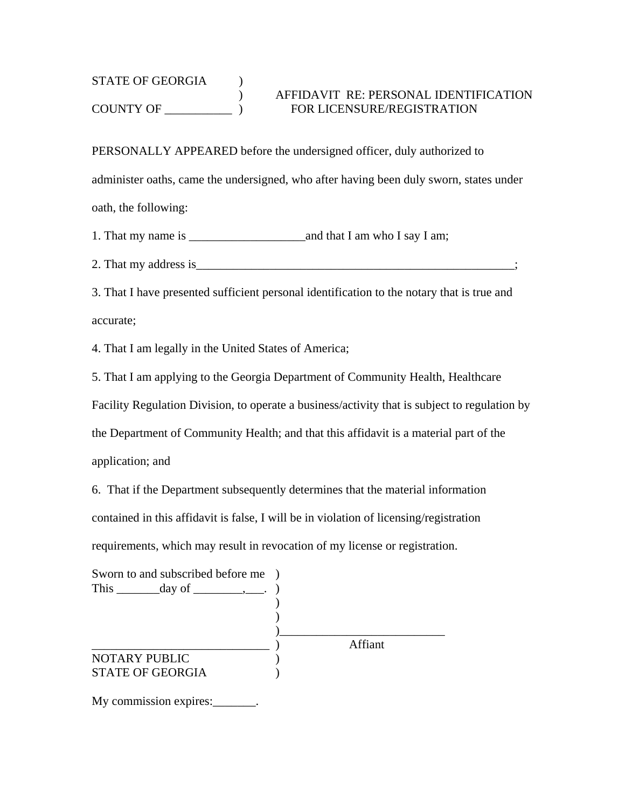# STATE OF GEORGIA ) ) AFFIDAVIT RE: PERSONAL IDENTIFICATION COUNTY OF \_\_\_\_\_\_\_\_\_\_\_ ) FOR LICENSURE/REGISTRATION

PERSONALLY APPEARED before the undersigned officer, duly authorized to administer oaths, came the undersigned, who after having been duly sworn, states under oath, the following:

1. That my name is \_\_\_\_\_\_\_\_\_\_\_\_\_\_\_\_\_\_\_and that I am who I say I am;

2. That my address is\_\_\_\_\_\_\_\_\_\_\_\_\_\_\_\_\_\_\_\_\_\_\_\_\_\_\_\_\_\_\_\_\_\_\_\_\_\_\_\_\_\_\_\_\_\_\_\_\_\_\_\_;

3. That I have presented sufficient personal identification to the notary that is true and accurate;

4. That I am legally in the United States of America;

5. That I am applying to the Georgia Department of Community Health, Healthcare

Facility Regulation Division, to operate a business/activity that is subject to regulation by

the Department of Community Health; and that this affidavit is a material part of the

application; and

6. That if the Department subsequently determines that the material information contained in this affidavit is false, I will be in violation of licensing/registration requirements, which may result in revocation of my license or registration.

| Sworn to and subscribed before me )<br>This $\_\_\_\_\_\_\$ day of $\_\_\_\_\_\_\_\_\_\_\_\_\_\_\_\_\_\_\_\_$ |         |
|---------------------------------------------------------------------------------------------------------------|---------|
| <b>NOTARY PUBLIC</b><br><b>STATE OF GEORGIA</b>                                                               | Affiant |

My commission expires: \_\_\_\_\_\_\_.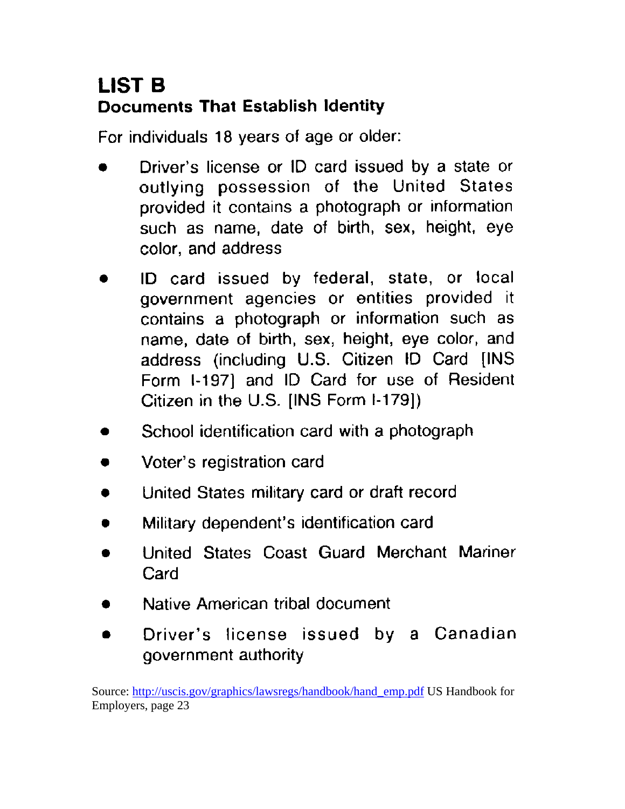# **LIST B Documents That Establish Identity**

For individuals 18 years of age or older:

- Driver's license or ID card issued by a state or outlying possession of the United States provided it contains a photograph or information such as name, date of birth, sex, height, eye color, and address
- ID card issued by federal, state, or local government agencies or entities provided it contains a photograph or information such as name, date of birth, sex, height, eye color, and address (including U.S. Citizen ID Card [INS Form I-197] and ID Card for use of Resident Citizen in the U.S. [INS Form I-179])
- School identification card with a photograph
- Voter's registration card
- United States military card or draft record  $\bullet$
- Military dependent's identification card
- United States Coast Guard Merchant Mariner Card
- Native American tribal document
- Driver's license issued by a Canadian  $\bullet$ government authority

Source: http://uscis.gov/graphics/lawsregs/handbook/hand\_emp.pdf US Handbook for Employers, page 23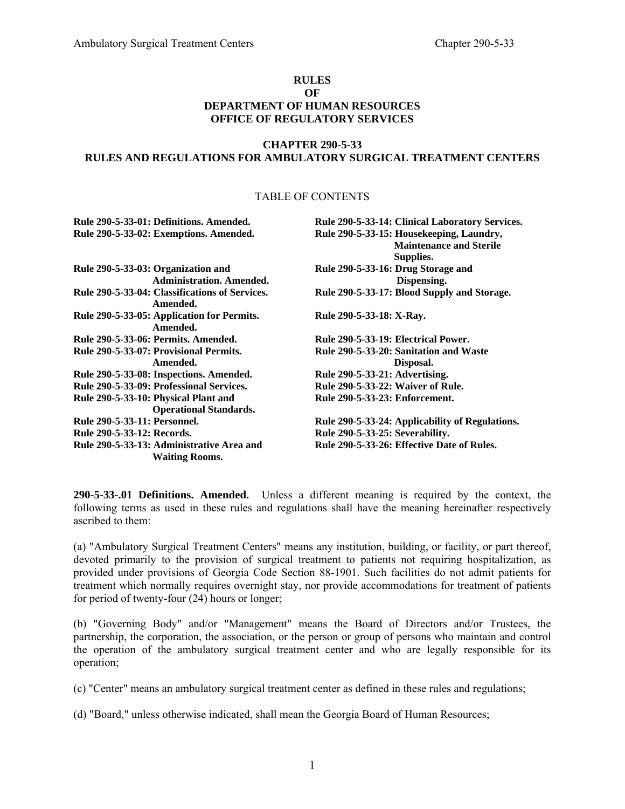#### **RULES OF DEPARTMENT OF HUMAN RESOURCES OFFICE OF REGULATORY SERVICES**

#### **CHAPTER 290-5-33 RULES AND REGULATIONS FOR AMBULATORY SURGICAL TREATMENT CENTERS**

#### TABLE OF CONTENTS

|                                     | Rule 290-5-33-01: Definitions. Amended.                               | Rule 290-5-33-14: Clinical Laboratory Services.                                         |
|-------------------------------------|-----------------------------------------------------------------------|-----------------------------------------------------------------------------------------|
|                                     | Rule 290-5-33-02: Exemptions. Amended.                                | Rule 290-5-33-15: Housekeeping, Laundry,<br><b>Maintenance and Sterile</b><br>Supplies. |
|                                     | Rule 290-5-33-03: Organization and<br><b>Administration. Amended.</b> | Rule 290-5-33-16: Drug Storage and<br>Dispensing.                                       |
|                                     | Rule 290-5-33-04: Classifications of Services.<br>Amended.            | Rule 290-5-33-17: Blood Supply and Storage.                                             |
|                                     | Rule 290-5-33-05: Application for Permits.<br>Amended.                | Rule 290-5-33-18: X-Ray.                                                                |
|                                     | <b>Rule 290-5-33-06: Permits. Amended.</b>                            | Rule 290-5-33-19: Electrical Power.                                                     |
|                                     | Rule 290-5-33-07: Provisional Permits.                                | Rule 290-5-33-20: Sanitation and Waste                                                  |
|                                     | Amended.                                                              | Disposal.                                                                               |
|                                     | Rule 290-5-33-08: Inspections. Amended.                               | Rule 290-5-33-21: Advertising.                                                          |
|                                     | Rule 290-5-33-09: Professional Services.                              | <b>Rule 290-5-33-22: Waiver of Rule.</b>                                                |
|                                     | Rule 290-5-33-10: Physical Plant and<br><b>Operational Standards.</b> | Rule 290-5-33-23: Enforcement.                                                          |
| <b>Rule 290-5-33-11: Personnel.</b> |                                                                       | Rule 290-5-33-24: Applicability of Regulations.                                         |
| Rule 290-5-33-12: Records.          |                                                                       | Rule 290-5-33-25: Severability.                                                         |
|                                     | Rule 290-5-33-13: Administrative Area and<br><b>Waiting Rooms.</b>    | Rule 290-5-33-26: Effective Date of Rules.                                              |

**290-5-33-.01 Definitions. Amended.** Unless a different meaning is required by the context, the following terms as used in these rules and regulations shall have the meaning hereinafter respectively ascribed to them:

(a) "Ambulatory Surgical Treatment Centers" means any institution, building, or facility, or part thereof, devoted primarily to the provision of surgical treatment to patients not requiring hospitalization, as provided under provisions of Georgia Code Section 88-1901. Such facilities do not admit patients for treatment which normally requires overnight stay, nor provide accommodations for treatment of patients for period of twenty-four (24) hours or longer;

(b) "Governing Body" and/or "Management" means the Board of Directors and/or Trustees, the partnership, the corporation, the association, or the person or group of persons who maintain and control the operation of the ambulatory surgical treatment center and who are legally responsible for its operation;

(c) "Center" means an ambulatory surgical treatment center as defined in these rules and regulations;

(d) "Board," unless otherwise indicated, shall mean the Georgia Board of Human Resources;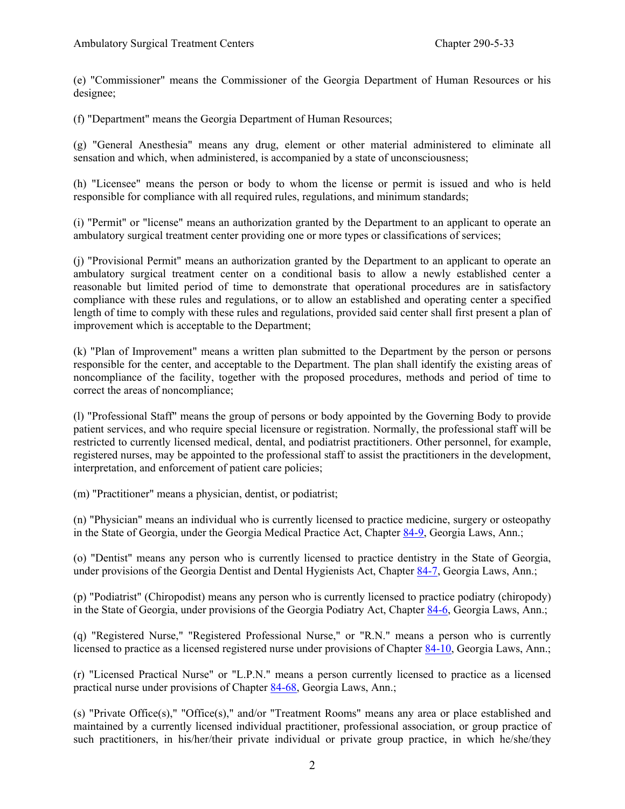(e) "Commissioner" means the Commissioner of the Georgia Department of Human Resources or his designee;

(f) "Department" means the Georgia Department of Human Resources;

(g) "General Anesthesia" means any drug, element or other material administered to eliminate all sensation and which, when administered, is accompanied by a state of unconsciousness;

(h) "Licensee" means the person or body to whom the license or permit is issued and who is held responsible for compliance with all required rules, regulations, and minimum standards;

(i) "Permit" or "license" means an authorization granted by the Department to an applicant to operate an ambulatory surgical treatment center providing one or more types or classifications of services;

(j) "Provisional Permit" means an authorization granted by the Department to an applicant to operate an ambulatory surgical treatment center on a conditional basis to allow a newly established center a reasonable but limited period of time to demonstrate that operational procedures are in satisfactory compliance with these rules and regulations, or to allow an established and operating center a specified length of time to comply with these rules and regulations, provided said center shall first present a plan of improvement which is acceptable to the Department;

(k) "Plan of Improvement" means a written plan submitted to the Department by the person or persons responsible for the center, and acceptable to the Department. The plan shall identify the existing areas of noncompliance of the facility, together with the proposed procedures, methods and period of time to correct the areas of noncompliance;

(l) "Professional Staff" means the group of persons or body appointed by the Governing Body to provide patient services, and who require special licensure or registration. Normally, the professional staff will be restricted to currently licensed medical, dental, and podiatrist practitioners. Other personnel, for example, registered nurses, may be appointed to the professional staff to assist the practitioners in the development, interpretation, and enforcement of patient care policies;

(m) "Practitioner" means a physician, dentist, or podiatrist;

(n) "Physician" means an individual who is currently licensed to practice medicine, surgery or osteopathy in the State of Georgia, under the Georgia Medical Practice Act, Chapter 84-9, Georgia Laws, Ann.;

(o) "Dentist" means any person who is currently licensed to practice dentistry in the State of Georgia, under provisions of the Georgia Dentist and Dental Hygienists Act, Chapter 84-7, Georgia Laws, Ann.;

(p) "Podiatrist" (Chiropodist) means any person who is currently licensed to practice podiatry (chiropody) in the State of Georgia, under provisions of the Georgia Podiatry Act, Chapter 84-6, Georgia Laws, Ann.;

(q) "Registered Nurse," "Registered Professional Nurse," or "R.N." means a person who is currently licensed to practice as a licensed registered nurse under provisions of Chapter 84-10, Georgia Laws, Ann.;

(r) "Licensed Practical Nurse" or "L.P.N." means a person currently licensed to practice as a licensed practical nurse under provisions of Chapter 84-68, Georgia Laws, Ann.;

(s) "Private Office(s)," "Office(s)," and/or "Treatment Rooms" means any area or place established and maintained by a currently licensed individual practitioner, professional association, or group practice of such practitioners, in his/her/their private individual or private group practice, in which he/she/they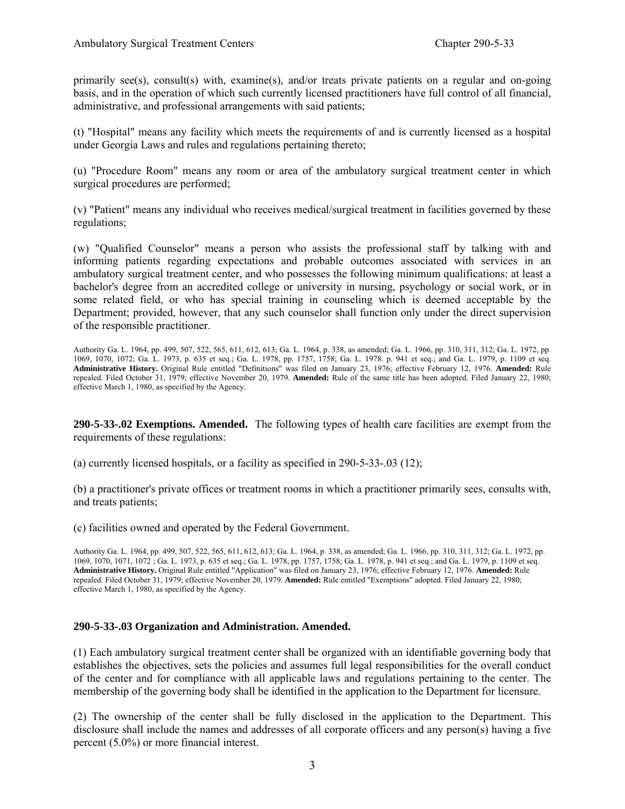primarily see(s), consult(s) with, examine(s), and/or treats private patients on a regular and on-going basis, and in the operation of which such currently licensed practitioners have full control of all financial, administrative, and professional arrangements with said patients;

(t) "Hospital" means any facility which meets the requirements of and is currently licensed as a hospital under Georgia Laws and rules and regulations pertaining thereto;

(u) "Procedure Room" means any room or area of the ambulatory surgical treatment center in which surgical procedures are performed;

(v) "Patient" means any individual who receives medical/surgical treatment in facilities governed by these regulations;

(w) "Qualified Counselor" means a person who assists the professional staff by talking with and informing patients regarding expectations and probable outcomes associated with services in an ambulatory surgical treatment center, and who possesses the following minimum qualifications: at least a bachelor's degree from an accredited college or university in nursing, psychology or social work, or in some related field, or who has special training in counseling which is deemed acceptable by the Department; provided, however, that any such counselor shall function only under the direct supervision of the responsible practitioner.

Authority Ga. L. 1964, pp. 499, 507, 522, 565, 611, 612, 613; Ga. L. 1964, p. 338, as amended; Ga. L. 1966, pp. 310, 311, 312; Ga. L. 1972, pp. 1069, 1070, 1072; Ga. L. 1973, p. 635 et seq.; Ga. L. 1978, pp. 1757, 1758; Ga. L. 1978. p. 941 et seq.; and Ga. L. 1979, p. 1109 et seq. **Administrative History.** Original Rule entitled "Definitions" was filed on January 23, 1976; effective February 12, 1976. **Amended:** Rule repealed. Filed October 31, 1979; effective November 20, 1979. **Amended:** Rule of the same title has been adopted. Filed January 22, 1980; effective March 1, 1980, as specified by the Agency.

**290-5-33-.02 Exemptions. Amended.** The following types of health care facilities are exempt from the requirements of these regulations:

(a) currently licensed hospitals, or a facility as specified in 290-5-33-.03 (12);

(b) a practitioner's private offices or treatment rooms in which a practitioner primarily sees, consults with, and treats patients;

(c) facilities owned and operated by the Federal Government.

Authority Ga. L. 1964, pp. 499, 507, 522, 565, 611, 612, 613; Ga. L. 1964, p. 338, as amended; Ga. L. 1966, pp. 310, 311, 312; Ga. L. 1972, pp. 1069, 1070, 1071, 1072 ; Ga. L. 1973, p. 635 et seq.; Ga. L. 1978, pp. 1757, 1758; Ga. L. 1978, p. 941 et seq.; and Ga. L. 1979, p. 1109 et seq. **Administrative History.** Original Rule entitled "Application" was filed on January 23, 1976; effective February 12, 1976. **Amended:** Rule repealed. Filed October 31, 1979; effective November 20, 1979. **Amended:** Rule entitled "Exemptions" adopted. Filed January 22, 1980; effective March 1, 1980, as specified by the Agency.

#### **290-5-33-.03 Organization and Administration. Amended.**

(1) Each ambulatory surgical treatment center shall be organized with an identifiable governing body that establishes the objectives, sets the policies and assumes full legal responsibilities for the overall conduct of the center and for compliance with all applicable laws and regulations pertaining to the center. The membership of the governing body shall be identified in the application to the Department for licensure.

(2) The ownership of the center shall be fully disclosed in the application to the Department. This disclosure shall include the names and addresses of all corporate officers and any person(s) having a five percent (5.0%) or more financial interest.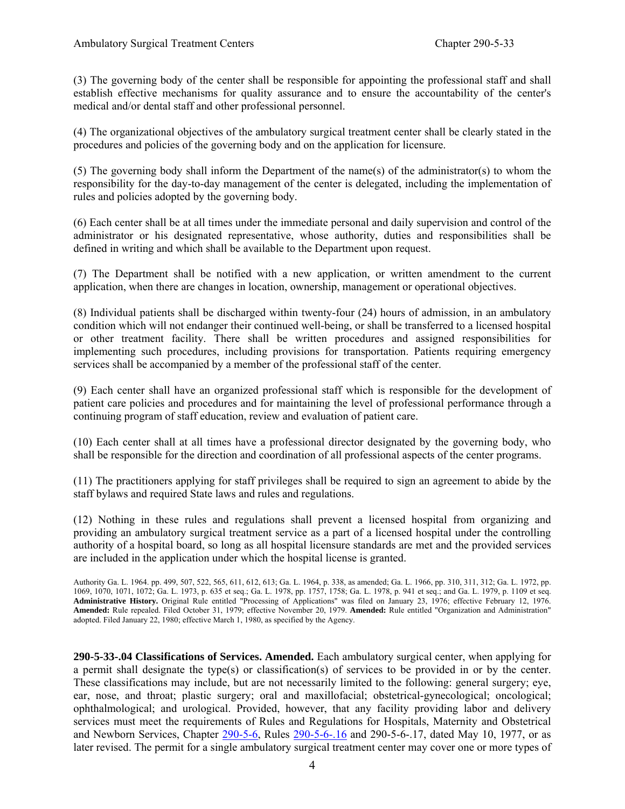(3) The governing body of the center shall be responsible for appointing the professional staff and shall establish effective mechanisms for quality assurance and to ensure the accountability of the center's medical and/or dental staff and other professional personnel.

(4) The organizational objectives of the ambulatory surgical treatment center shall be clearly stated in the procedures and policies of the governing body and on the application for licensure.

(5) The governing body shall inform the Department of the name(s) of the administrator(s) to whom the responsibility for the day-to-day management of the center is delegated, including the implementation of rules and policies adopted by the governing body.

(6) Each center shall be at all times under the immediate personal and daily supervision and control of the administrator or his designated representative, whose authority, duties and responsibilities shall be defined in writing and which shall be available to the Department upon request.

(7) The Department shall be notified with a new application, or written amendment to the current application, when there are changes in location, ownership, management or operational objectives.

(8) Individual patients shall be discharged within twenty-four (24) hours of admission, in an ambulatory condition which will not endanger their continued well-being, or shall be transferred to a licensed hospital or other treatment facility. There shall be written procedures and assigned responsibilities for implementing such procedures, including provisions for transportation. Patients requiring emergency services shall be accompanied by a member of the professional staff of the center.

(9) Each center shall have an organized professional staff which is responsible for the development of patient care policies and procedures and for maintaining the level of professional performance through a continuing program of staff education, review and evaluation of patient care.

(10) Each center shall at all times have a professional director designated by the governing body, who shall be responsible for the direction and coordination of all professional aspects of the center programs.

(11) The practitioners applying for staff privileges shall be required to sign an agreement to abide by the staff bylaws and required State laws and rules and regulations.

(12) Nothing in these rules and regulations shall prevent a licensed hospital from organizing and providing an ambulatory surgical treatment service as a part of a licensed hospital under the controlling authority of a hospital board, so long as all hospital licensure standards are met and the provided services are included in the application under which the hospital license is granted.

**290-5-33-.04 Classifications of Services. Amended.** Each ambulatory surgical center, when applying for a permit shall designate the type(s) or classification(s) of services to be provided in or by the center. These classifications may include, but are not necessarily limited to the following: general surgery; eye, ear, nose, and throat; plastic surgery; oral and maxillofacial; obstetrical-gynecological; oncological; ophthalmological; and urological. Provided, however, that any facility providing labor and delivery services must meet the requirements of Rules and Regulations for Hospitals, Maternity and Obstetrical and Newborn Services, Chapter 290-5-6, Rules 290-5-6-.16 and 290-5-6-.17, dated May 10, 1977, or as later revised. The permit for a single ambulatory surgical treatment center may cover one or more types of

Authority Ga. L. 1964. pp. 499, 507, 522, 565, 611, 612, 613; Ga. L. 1964, p. 338, as amended; Ga. L. 1966, pp. 310, 311, 312; Ga. L. 1972, pp. 1069, 1070, 1071, 1072; Ga. L. 1973, p. 635 et seq.; Ga. L. 1978, pp. 1757, 1758; Ga. L. 1978, p. 941 et seq.; and Ga. L. 1979, p. 1109 et seq. **Administrative History.** Original Rule entitled "Processing of Applications" was filed on January 23, 1976; effective February 12, 1976. **Amended:** Rule repealed. Filed October 31, 1979; effective November 20, 1979. **Amended:** Rule entitled "Organization and Administration" adopted. Filed January 22, 1980; effective March 1, 1980, as specified by the Agency.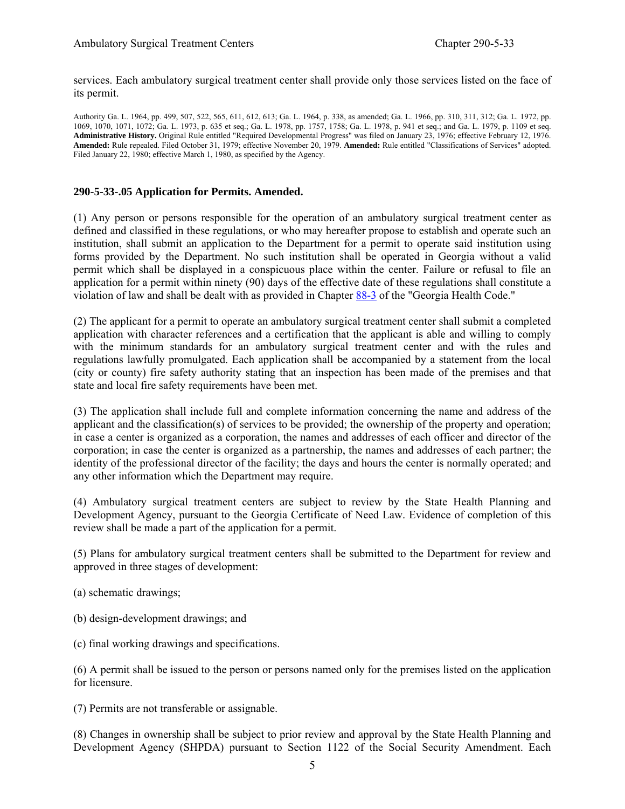services. Each ambulatory surgical treatment center shall provide only those services listed on the face of its permit.

Authority Ga. L. 1964, pp. 499, 507, 522, 565, 611, 612, 613; Ga. L. 1964, p. 338, as amended; Ga. L. 1966, pp. 310, 311, 312; Ga. L. 1972, pp. 1069, 1070, 1071, 1072; Ga. L. 1973, p. 635 et seq.; Ga. L. 1978, pp. 1757, 1758; Ga. L. 1978, p. 941 et seq.; and Ga. L. 1979, p. 1109 et seq. **Administrative History.** Original Rule entitled "Required Developmental Progress" was filed on January 23, 1976; effective February 12, 1976. **Amended:** Rule repealed. Filed October 31, 1979; effective November 20, 1979. **Amended:** Rule entitled "Classifications of Services" adopted. Filed January 22, 1980; effective March 1, 1980, as specified by the Agency.

#### **290-5-33-.05 Application for Permits. Amended.**

(1) Any person or persons responsible for the operation of an ambulatory surgical treatment center as defined and classified in these regulations, or who may hereafter propose to establish and operate such an institution, shall submit an application to the Department for a permit to operate said institution using forms provided by the Department. No such institution shall be operated in Georgia without a valid permit which shall be displayed in a conspicuous place within the center. Failure or refusal to file an application for a permit within ninety (90) days of the effective date of these regulations shall constitute a violation of law and shall be dealt with as provided in Chapter 88-3 of the "Georgia Health Code."

(2) The applicant for a permit to operate an ambulatory surgical treatment center shall submit a completed application with character references and a certification that the applicant is able and willing to comply with the minimum standards for an ambulatory surgical treatment center and with the rules and regulations lawfully promulgated. Each application shall be accompanied by a statement from the local (city or county) fire safety authority stating that an inspection has been made of the premises and that state and local fire safety requirements have been met.

(3) The application shall include full and complete information concerning the name and address of the applicant and the classification(s) of services to be provided; the ownership of the property and operation; in case a center is organized as a corporation, the names and addresses of each officer and director of the corporation; in case the center is organized as a partnership, the names and addresses of each partner; the identity of the professional director of the facility; the days and hours the center is normally operated; and any other information which the Department may require.

(4) Ambulatory surgical treatment centers are subject to review by the State Health Planning and Development Agency, pursuant to the Georgia Certificate of Need Law. Evidence of completion of this review shall be made a part of the application for a permit.

(5) Plans for ambulatory surgical treatment centers shall be submitted to the Department for review and approved in three stages of development:

- (a) schematic drawings;
- (b) design-development drawings; and
- (c) final working drawings and specifications.

(6) A permit shall be issued to the person or persons named only for the premises listed on the application for licensure.

(7) Permits are not transferable or assignable.

(8) Changes in ownership shall be subject to prior review and approval by the State Health Planning and Development Agency (SHPDA) pursuant to Section 1122 of the Social Security Amendment. Each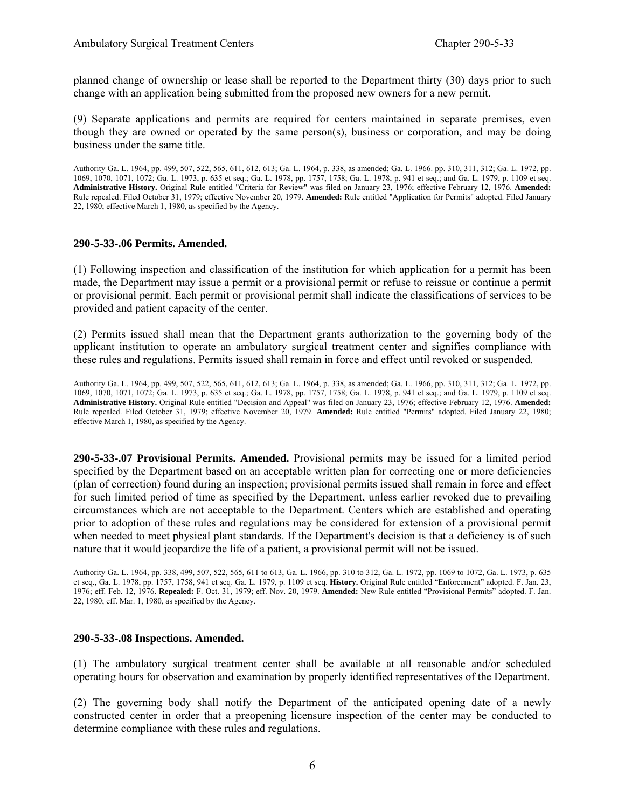planned change of ownership or lease shall be reported to the Department thirty (30) days prior to such change with an application being submitted from the proposed new owners for a new permit.

(9) Separate applications and permits are required for centers maintained in separate premises, even though they are owned or operated by the same person(s), business or corporation, and may be doing business under the same title.

Authority Ga. L. 1964, pp. 499, 507, 522, 565, 611, 612, 613; Ga. L. 1964, p. 338, as amended; Ga. L. 1966. pp. 310, 311, 312; Ga. L. 1972, pp. 1069, 1070, 1071, 1072; Ga. L. 1973, p. 635 et seq.; Ga. L. 1978, pp. 1757, 1758; Ga. L. 1978, p. 941 et seq.; and Ga. L. 1979, p. 1109 et seq. **Administrative History.** Original Rule entitled "Criteria for Review" was filed on January 23, 1976; effective February 12, 1976. **Amended:**  Rule repealed. Filed October 31, 1979; effective November 20, 1979. **Amended:** Rule entitled "Application for Permits" adopted. Filed January 22, 1980; effective March 1, 1980, as specified by the Agency.

#### **290-5-33-.06 Permits. Amended.**

(1) Following inspection and classification of the institution for which application for a permit has been made, the Department may issue a permit or a provisional permit or refuse to reissue or continue a permit or provisional permit. Each permit or provisional permit shall indicate the classifications of services to be provided and patient capacity of the center.

(2) Permits issued shall mean that the Department grants authorization to the governing body of the applicant institution to operate an ambulatory surgical treatment center and signifies compliance with these rules and regulations. Permits issued shall remain in force and effect until revoked or suspended.

Authority Ga. L. 1964, pp. 499, 507, 522, 565, 611, 612, 613; Ga. L. 1964, p. 338, as amended; Ga. L. 1966, pp. 310, 311, 312; Ga. L. 1972, pp. 1069, 1070, 1071, 1072; Ga. L. 1973, p. 635 et seq.; Ga. L. 1978, pp. 1757, 1758; Ga. L. 1978, p. 941 et seq.; and Ga. L. 1979, p. 1109 et seq. **Administrative History.** Original Rule entitled "Decision and Appeal" was filed on January 23, 1976; effective February 12, 1976. **Amended:**  Rule repealed. Filed October 31, 1979; effective November 20, 1979. **Amended:** Rule entitled "Permits" adopted. Filed January 22, 1980; effective March 1, 1980, as specified by the Agency.

**290-5-33-.07 Provisional Permits. Amended.** Provisional permits may be issued for a limited period specified by the Department based on an acceptable written plan for correcting one or more deficiencies (plan of correction) found during an inspection; provisional permits issued shall remain in force and effect for such limited period of time as specified by the Department, unless earlier revoked due to prevailing circumstances which are not acceptable to the Department. Centers which are established and operating prior to adoption of these rules and regulations may be considered for extension of a provisional permit when needed to meet physical plant standards. If the Department's decision is that a deficiency is of such nature that it would jeopardize the life of a patient, a provisional permit will not be issued.

Authority Ga. L. 1964, pp. 338, 499, 507, 522, 565, 611 to 613, Ga. L. 1966, pp. 310 to 312, Ga. L. 1972, pp. 1069 to 1072, Ga. L. 1973, p. 635 et seq., Ga. L. 1978, pp. 1757, 1758, 941 et seq. Ga. L. 1979, p. 1109 et seq. **History.** Original Rule entitled "Enforcement" adopted. F. Jan. 23, 1976; eff. Feb. 12, 1976. **Repealed:** F. Oct. 31, 1979; eff. Nov. 20, 1979. **Amended:** New Rule entitled "Provisional Permits" adopted. F. Jan. 22, 1980; eff. Mar. 1, 1980, as specified by the Agency.

#### **290-5-33-.08 Inspections. Amended.**

(1) The ambulatory surgical treatment center shall be available at all reasonable and/or scheduled operating hours for observation and examination by properly identified representatives of the Department.

(2) The governing body shall notify the Department of the anticipated opening date of a newly constructed center in order that a preopening licensure inspection of the center may be conducted to determine compliance with these rules and regulations.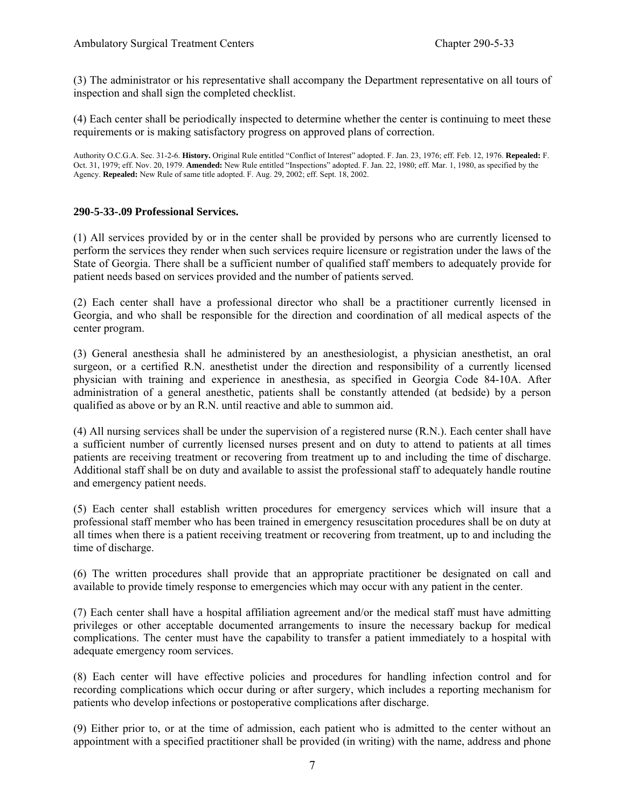(3) The administrator or his representative shall accompany the Department representative on all tours of inspection and shall sign the completed checklist.

(4) Each center shall be periodically inspected to determine whether the center is continuing to meet these requirements or is making satisfactory progress on approved plans of correction.

Authority O.C.G.A. Sec. 31-2-6. **History.** Original Rule entitled "Conflict of Interest" adopted. F. Jan. 23, 1976; eff. Feb. 12, 1976. **Repealed:** F. Oct. 31, 1979; eff. Nov. 20, 1979. **Amended:** New Rule entitled "Inspections" adopted. F. Jan. 22, 1980; eff. Mar. 1, 1980, as specified by the Agency. **Repealed:** New Rule of same title adopted. F. Aug. 29, 2002; eff. Sept. 18, 2002.

#### **290-5-33-.09 Professional Services.**

(1) All services provided by or in the center shall be provided by persons who are currently licensed to perform the services they render when such services require licensure or registration under the laws of the State of Georgia. There shall be a sufficient number of qualified staff members to adequately provide for patient needs based on services provided and the number of patients served.

(2) Each center shall have a professional director who shall be a practitioner currently licensed in Georgia, and who shall be responsible for the direction and coordination of all medical aspects of the center program.

(3) General anesthesia shall he administered by an anesthesiologist, a physician anesthetist, an oral surgeon, or a certified R.N. anesthetist under the direction and responsibility of a currently licensed physician with training and experience in anesthesia, as specified in Georgia Code 84-10A. After administration of a general anesthetic, patients shall be constantly attended (at bedside) by a person qualified as above or by an R.N. until reactive and able to summon aid.

(4) All nursing services shall be under the supervision of a registered nurse (R.N.). Each center shall have a sufficient number of currently licensed nurses present and on duty to attend to patients at all times patients are receiving treatment or recovering from treatment up to and including the time of discharge. Additional staff shall be on duty and available to assist the professional staff to adequately handle routine and emergency patient needs.

(5) Each center shall establish written procedures for emergency services which will insure that a professional staff member who has been trained in emergency resuscitation procedures shall be on duty at all times when there is a patient receiving treatment or recovering from treatment, up to and including the time of discharge.

(6) The written procedures shall provide that an appropriate practitioner be designated on call and available to provide timely response to emergencies which may occur with any patient in the center.

(7) Each center shall have a hospital affiliation agreement and/or the medical staff must have admitting privileges or other acceptable documented arrangements to insure the necessary backup for medical complications. The center must have the capability to transfer a patient immediately to a hospital with adequate emergency room services.

(8) Each center will have effective policies and procedures for handling infection control and for recording complications which occur during or after surgery, which includes a reporting mechanism for patients who develop infections or postoperative complications after discharge.

(9) Either prior to, or at the time of admission, each patient who is admitted to the center without an appointment with a specified practitioner shall be provided (in writing) with the name, address and phone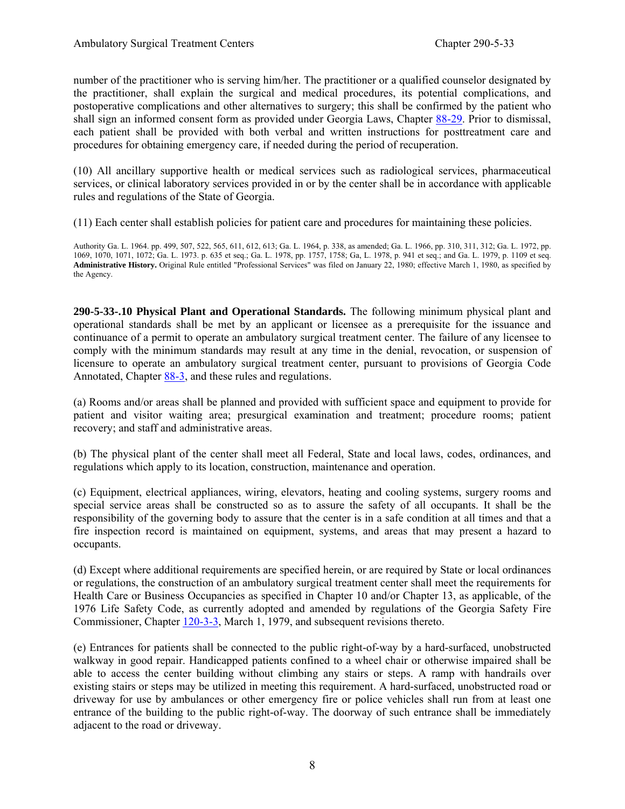number of the practitioner who is serving him/her. The practitioner or a qualified counselor designated by the practitioner, shall explain the surgical and medical procedures, its potential complications, and postoperative complications and other alternatives to surgery; this shall be confirmed by the patient who shall sign an informed consent form as provided under Georgia Laws, Chapter 88-29. Prior to dismissal, each patient shall be provided with both verbal and written instructions for posttreatment care and procedures for obtaining emergency care, if needed during the period of recuperation.

(10) All ancillary supportive health or medical services such as radiological services, pharmaceutical services, or clinical laboratory services provided in or by the center shall be in accordance with applicable rules and regulations of the State of Georgia.

(11) Each center shall establish policies for patient care and procedures for maintaining these policies.

Authority Ga. L. 1964. pp. 499, 507, 522, 565, 611, 612, 613; Ga. L. 1964, p. 338, as amended; Ga. L. 1966, pp. 310, 311, 312; Ga. L. 1972, pp. 1069, 1070, 1071, 1072; Ga. L. 1973. p. 635 et seq.; Ga. L. 1978, pp. 1757, 1758; Ga, L. 1978, p. 941 et seq.; and Ga. L. 1979, p. 1109 et seq. **Administrative History.** Original Rule entitled "Professional Services" was filed on January 22, 1980; effective March 1, 1980, as specified by the Agency.

**290-5-33-.10 Physical Plant and Operational Standards.** The following minimum physical plant and operational standards shall be met by an applicant or licensee as a prerequisite for the issuance and continuance of a permit to operate an ambulatory surgical treatment center. The failure of any licensee to comply with the minimum standards may result at any time in the denial, revocation, or suspension of licensure to operate an ambulatory surgical treatment center, pursuant to provisions of Georgia Code Annotated, Chapter 88-3, and these rules and regulations.

(a) Rooms and/or areas shall be planned and provided with sufficient space and equipment to provide for patient and visitor waiting area; presurgical examination and treatment; procedure rooms; patient recovery; and staff and administrative areas.

(b) The physical plant of the center shall meet all Federal, State and local laws, codes, ordinances, and regulations which apply to its location, construction, maintenance and operation.

(c) Equipment, electrical appliances, wiring, elevators, heating and cooling systems, surgery rooms and special service areas shall be constructed so as to assure the safety of all occupants. It shall be the responsibility of the governing body to assure that the center is in a safe condition at all times and that a fire inspection record is maintained on equipment, systems, and areas that may present a hazard to occupants.

(d) Except where additional requirements are specified herein, or are required by State or local ordinances or regulations, the construction of an ambulatory surgical treatment center shall meet the requirements for Health Care or Business Occupancies as specified in Chapter 10 and/or Chapter 13, as applicable, of the 1976 Life Safety Code, as currently adopted and amended by regulations of the Georgia Safety Fire Commissioner, Chapter 120-3-3, March 1, 1979, and subsequent revisions thereto.

(e) Entrances for patients shall be connected to the public right-of-way by a hard-surfaced, unobstructed walkway in good repair. Handicapped patients confined to a wheel chair or otherwise impaired shall be able to access the center building without climbing any stairs or steps. A ramp with handrails over existing stairs or steps may be utilized in meeting this requirement. A hard-surfaced, unobstructed road or driveway for use by ambulances or other emergency fire or police vehicles shall run from at least one entrance of the building to the public right-of-way. The doorway of such entrance shall be immediately adjacent to the road or driveway.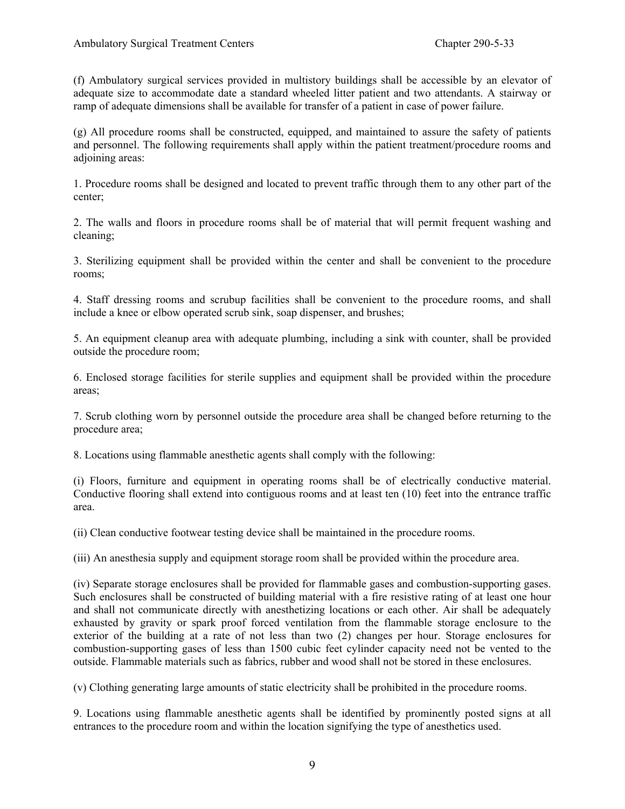(f) Ambulatory surgical services provided in multistory buildings shall be accessible by an elevator of adequate size to accommodate date a standard wheeled litter patient and two attendants. A stairway or ramp of adequate dimensions shall be available for transfer of a patient in case of power failure.

(g) All procedure rooms shall be constructed, equipped, and maintained to assure the safety of patients and personnel. The following requirements shall apply within the patient treatment/procedure rooms and adjoining areas:

1. Procedure rooms shall be designed and located to prevent traffic through them to any other part of the center;

2. The walls and floors in procedure rooms shall be of material that will permit frequent washing and cleaning;

3. Sterilizing equipment shall be provided within the center and shall be convenient to the procedure rooms;

4. Staff dressing rooms and scrubup facilities shall be convenient to the procedure rooms, and shall include a knee or elbow operated scrub sink, soap dispenser, and brushes;

5. An equipment cleanup area with adequate plumbing, including a sink with counter, shall be provided outside the procedure room;

6. Enclosed storage facilities for sterile supplies and equipment shall be provided within the procedure areas;

7. Scrub clothing worn by personnel outside the procedure area shall be changed before returning to the procedure area;

8. Locations using flammable anesthetic agents shall comply with the following:

(i) Floors, furniture and equipment in operating rooms shall be of electrically conductive material. Conductive flooring shall extend into contiguous rooms and at least ten (10) feet into the entrance traffic area.

(ii) Clean conductive footwear testing device shall be maintained in the procedure rooms.

(iii) An anesthesia supply and equipment storage room shall be provided within the procedure area.

(iv) Separate storage enclosures shall be provided for flammable gases and combustion-supporting gases. Such enclosures shall be constructed of building material with a fire resistive rating of at least one hour and shall not communicate directly with anesthetizing locations or each other. Air shall be adequately exhausted by gravity or spark proof forced ventilation from the flammable storage enclosure to the exterior of the building at a rate of not less than two (2) changes per hour. Storage enclosures for combustion-supporting gases of less than 1500 cubic feet cylinder capacity need not be vented to the outside. Flammable materials such as fabrics, rubber and wood shall not be stored in these enclosures.

(v) Clothing generating large amounts of static electricity shall be prohibited in the procedure rooms.

9. Locations using flammable anesthetic agents shall be identified by prominently posted signs at all entrances to the procedure room and within the location signifying the type of anesthetics used.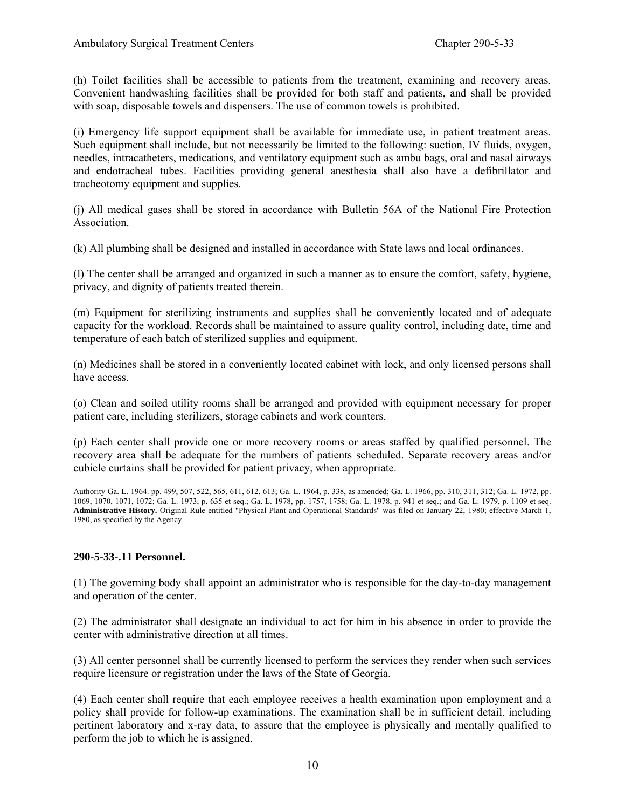(h) Toilet facilities shall be accessible to patients from the treatment, examining and recovery areas. Convenient handwashing facilities shall be provided for both staff and patients, and shall be provided with soap, disposable towels and dispensers. The use of common towels is prohibited.

(i) Emergency life support equipment shall be available for immediate use, in patient treatment areas. Such equipment shall include, but not necessarily be limited to the following: suction, IV fluids, oxygen, needles, intracatheters, medications, and ventilatory equipment such as ambu bags, oral and nasal airways and endotracheal tubes. Facilities providing general anesthesia shall also have a defibrillator and tracheotomy equipment and supplies.

(j) All medical gases shall be stored in accordance with Bulletin 56A of the National Fire Protection **Association** 

(k) All plumbing shall be designed and installed in accordance with State laws and local ordinances.

(l) The center shall be arranged and organized in such a manner as to ensure the comfort, safety, hygiene, privacy, and dignity of patients treated therein.

(m) Equipment for sterilizing instruments and supplies shall be conveniently located and of adequate capacity for the workload. Records shall be maintained to assure quality control, including date, time and temperature of each batch of sterilized supplies and equipment.

(n) Medicines shall be stored in a conveniently located cabinet with lock, and only licensed persons shall have access.

(o) Clean and soiled utility rooms shall be arranged and provided with equipment necessary for proper patient care, including sterilizers, storage cabinets and work counters.

(p) Each center shall provide one or more recovery rooms or areas staffed by qualified personnel. The recovery area shall be adequate for the numbers of patients scheduled. Separate recovery areas and/or cubicle curtains shall be provided for patient privacy, when appropriate.

Authority Ga. L. 1964. pp. 499, 507, 522, 565, 611, 612, 613; Ga. L. 1964, p. 338, as amended; Ga. L. 1966, pp. 310, 311, 312; Ga. L. 1972, pp. 1069, 1070, 1071, 1072; Ga. L. 1973, p. 635 et seq.; Ga. L. 1978, pp. 1757, 1758; Ga. L. 1978, p. 941 et seq.; and Ga. L. 1979, p. 1109 et seq. **Administrative History.** Original Rule entitled "Physical Plant and Operational Standards" was filed on January 22, 1980; effective March 1, 1980, as specified by the Agency.

#### **290-5-33-.11 Personnel.**

(1) The governing body shall appoint an administrator who is responsible for the day-to-day management and operation of the center.

(2) The administrator shall designate an individual to act for him in his absence in order to provide the center with administrative direction at all times.

(3) All center personnel shall be currently licensed to perform the services they render when such services require licensure or registration under the laws of the State of Georgia.

(4) Each center shall require that each employee receives a health examination upon employment and a policy shall provide for follow-up examinations. The examination shall be in sufficient detail, including pertinent laboratory and x-ray data, to assure that the employee is physically and mentally qualified to perform the job to which he is assigned.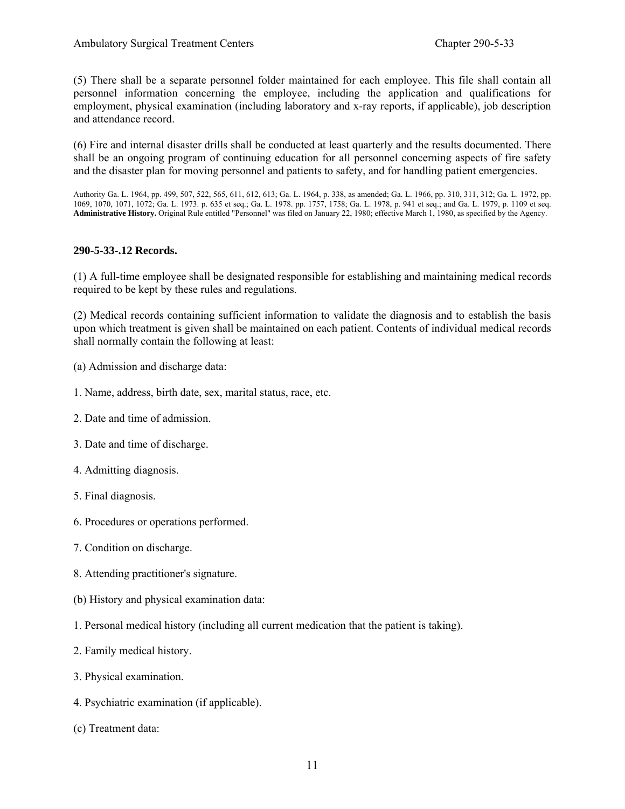(5) There shall be a separate personnel folder maintained for each employee. This file shall contain all personnel information concerning the employee, including the application and qualifications for employment, physical examination (including laboratory and x-ray reports, if applicable), job description and attendance record.

(6) Fire and internal disaster drills shall be conducted at least quarterly and the results documented. There shall be an ongoing program of continuing education for all personnel concerning aspects of fire safety and the disaster plan for moving personnel and patients to safety, and for handling patient emergencies.

Authority Ga. L. 1964, pp. 499, 507, 522, 565, 611, 612, 613; Ga. L. 1964, p. 338, as amended; Ga. L. 1966, pp. 310, 311, 312; Ga. L. 1972, pp. 1069, 1070, 1071, 1072; Ga. L. 1973. p. 635 et seq.; Ga. L. 1978. pp. 1757, 1758; Ga. L. 1978, p. 941 et seq.; and Ga. L. 1979, p. 1109 et seq. **Administrative History.** Original Rule entitled "Personnel" was filed on January 22, 1980; effective March 1, 1980, as specified by the Agency.

#### **290-5-33-.12 Records.**

(1) A full-time employee shall be designated responsible for establishing and maintaining medical records required to be kept by these rules and regulations.

(2) Medical records containing sufficient information to validate the diagnosis and to establish the basis upon which treatment is given shall be maintained on each patient. Contents of individual medical records shall normally contain the following at least:

- (a) Admission and discharge data:
- 1. Name, address, birth date, sex, marital status, race, etc.
- 2. Date and time of admission.
- 3. Date and time of discharge.
- 4. Admitting diagnosis.
- 5. Final diagnosis.
- 6. Procedures or operations performed.
- 7. Condition on discharge.
- 8. Attending practitioner's signature.
- (b) History and physical examination data:
- 1. Personal medical history (including all current medication that the patient is taking).
- 2. Family medical history.
- 3. Physical examination.
- 4. Psychiatric examination (if applicable).
- (c) Treatment data: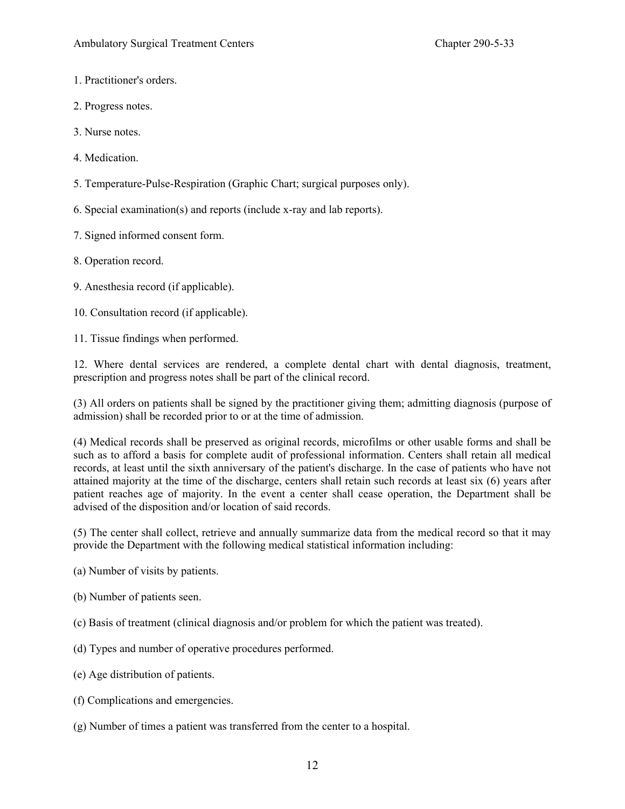- 1. Practitioner's orders.
- 2. Progress notes.
- 3. Nurse notes.
- 4. Medication.
- 5. Temperature-Pulse-Respiration (Graphic Chart; surgical purposes only).
- 6. Special examination(s) and reports (include x-ray and lab reports).
- 7. Signed informed consent form.
- 8. Operation record.
- 9. Anesthesia record (if applicable).
- 10. Consultation record (if applicable).

11. Tissue findings when performed.

12. Where dental services are rendered, a complete dental chart with dental diagnosis, treatment, prescription and progress notes shall be part of the clinical record.

(3) All orders on patients shall be signed by the practitioner giving them; admitting diagnosis (purpose of admission) shall be recorded prior to or at the time of admission.

(4) Medical records shall be preserved as original records, microfilms or other usable forms and shall be such as to afford a basis for complete audit of professional information. Centers shall retain all medical records, at least until the sixth anniversary of the patient's discharge. In the case of patients who have not attained majority at the time of the discharge, centers shall retain such records at least six (6) years after patient reaches age of majority. In the event a center shall cease operation, the Department shall be advised of the disposition and/or location of said records.

(5) The center shall collect, retrieve and annually summarize data from the medical record so that it may provide the Department with the following medical statistical information including:

- (a) Number of visits by patients.
- (b) Number of patients seen.
- (c) Basis of treatment (clinical diagnosis and/or problem for which the patient was treated).
- (d) Types and number of operative procedures performed.
- (e) Age distribution of patients.
- (f) Complications and emergencies.
- (g) Number of times a patient was transferred from the center to a hospital.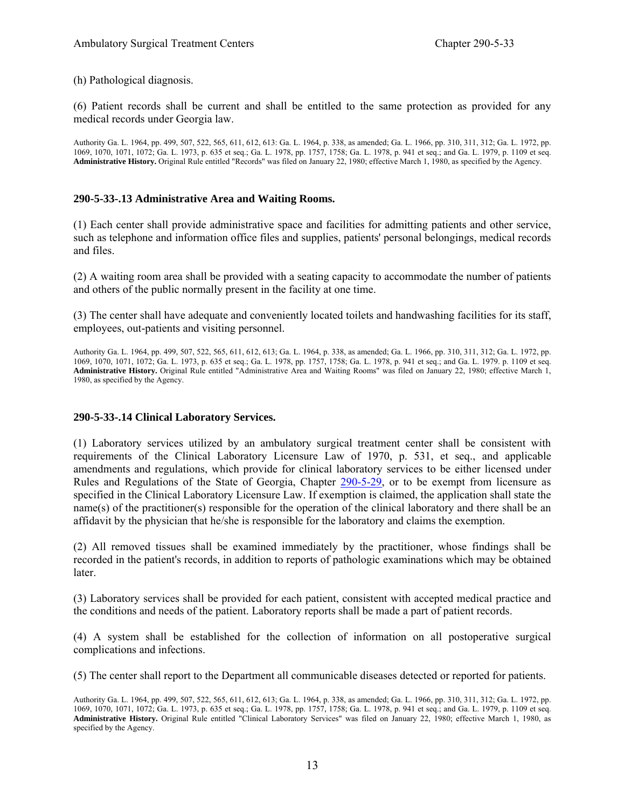(h) Pathological diagnosis.

(6) Patient records shall be current and shall be entitled to the same protection as provided for any medical records under Georgia law.

Authority Ga. L. 1964, pp. 499, 507, 522, 565, 611, 612, 613: Ga. L. 1964, p. 338, as amended; Ga. L. 1966, pp. 310, 311, 312; Ga. L. 1972, pp. 1069, 1070, 1071, 1072; Ga. L. 1973, p. 635 et seq.; Ga. L. 1978, pp. 1757, 1758; Ga. L. 1978, p. 941 et seq.; and Ga. L. 1979, p. 1109 et seq. **Administrative History.** Original Rule entitled "Records" was filed on January 22, 1980; effective March 1, 1980, as specified by the Agency.

#### **290-5-33-.13 Administrative Area and Waiting Rooms.**

(1) Each center shall provide administrative space and facilities for admitting patients and other service, such as telephone and information office files and supplies, patients' personal belongings, medical records and files.

(2) A waiting room area shall be provided with a seating capacity to accommodate the number of patients and others of the public normally present in the facility at one time.

(3) The center shall have adequate and conveniently located toilets and handwashing facilities for its staff, employees, out-patients and visiting personnel.

Authority Ga. L. 1964, pp. 499, 507, 522, 565, 611, 612, 613; Ga. L. 1964, p. 338, as amended; Ga. L. 1966, pp. 310, 311, 312; Ga. L. 1972, pp. 1069, 1070, 1071, 1072; Ga. L. 1973, p. 635 et seq.; Ga. L. 1978, pp. 1757, 1758; Ga. L. 1978, p. 941 et seq.; and Ga. L. 1979. p. 1109 et seq. **Administrative History.** Original Rule entitled "Administrative Area and Waiting Rooms" was filed on January 22, 1980; effective March 1, 1980, as specified by the Agency.

#### **290-5-33-.14 Clinical Laboratory Services.**

(1) Laboratory services utilized by an ambulatory surgical treatment center shall be consistent with requirements of the Clinical Laboratory Licensure Law of 1970, p. 531, et seq., and applicable amendments and regulations, which provide for clinical laboratory services to be either licensed under Rules and Regulations of the State of Georgia, Chapter 290-5-29, or to be exempt from licensure as specified in the Clinical Laboratory Licensure Law. If exemption is claimed, the application shall state the name(s) of the practitioner(s) responsible for the operation of the clinical laboratory and there shall be an affidavit by the physician that he/she is responsible for the laboratory and claims the exemption.

(2) All removed tissues shall be examined immediately by the practitioner, whose findings shall be recorded in the patient's records, in addition to reports of pathologic examinations which may be obtained **later** 

(3) Laboratory services shall be provided for each patient, consistent with accepted medical practice and the conditions and needs of the patient. Laboratory reports shall be made a part of patient records.

(4) A system shall be established for the collection of information on all postoperative surgical complications and infections.

(5) The center shall report to the Department all communicable diseases detected or reported for patients.

Authority Ga. L. 1964, pp. 499, 507, 522, 565, 611, 612, 613; Ga. L. 1964, p. 338, as amended; Ga. L. 1966, pp. 310, 311, 312; Ga. L. 1972, pp. 1069, 1070, 1071, 1072; Ga. L. 1973, p. 635 et seq.; Ga. L. 1978, pp. 1757, 1758; Ga. L. 1978, p. 941 et seq.; and Ga. L. 1979, p. 1109 et seq. **Administrative History.** Original Rule entitled "Clinical Laboratory Services" was filed on January 22, 1980; effective March 1, 1980, as specified by the Agency.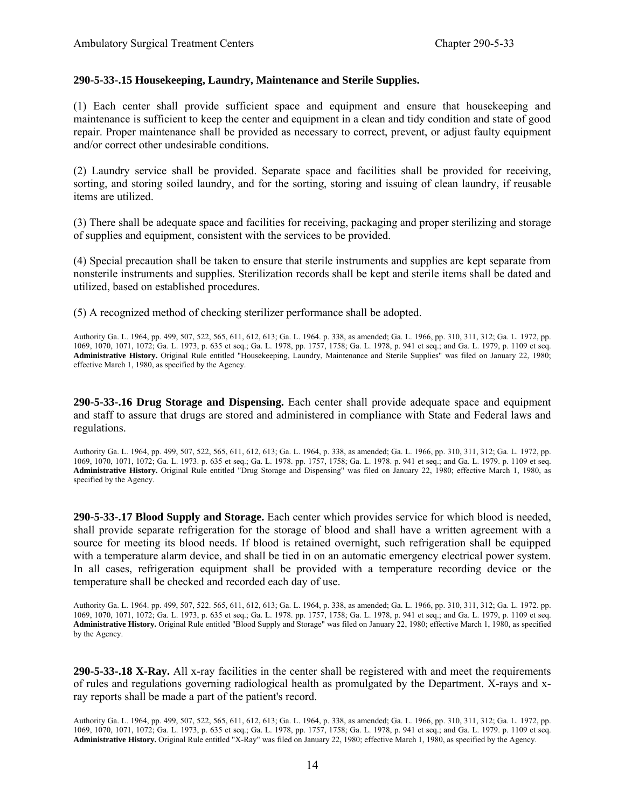#### **290-5-33-.15 Housekeeping, Laundry, Maintenance and Sterile Supplies.**

(1) Each center shall provide sufficient space and equipment and ensure that housekeeping and maintenance is sufficient to keep the center and equipment in a clean and tidy condition and state of good repair. Proper maintenance shall be provided as necessary to correct, prevent, or adjust faulty equipment and/or correct other undesirable conditions.

(2) Laundry service shall be provided. Separate space and facilities shall be provided for receiving, sorting, and storing soiled laundry, and for the sorting, storing and issuing of clean laundry, if reusable items are utilized.

(3) There shall be adequate space and facilities for receiving, packaging and proper sterilizing and storage of supplies and equipment, consistent with the services to be provided.

(4) Special precaution shall be taken to ensure that sterile instruments and supplies are kept separate from nonsterile instruments and supplies. Sterilization records shall be kept and sterile items shall be dated and utilized, based on established procedures.

(5) A recognized method of checking sterilizer performance shall be adopted.

Authority Ga. L. 1964, pp. 499, 507, 522, 565, 611, 612, 613; Ga. L. 1964. p. 338, as amended; Ga. L. 1966, pp. 310, 311, 312; Ga. L. 1972, pp. 1069, 1070, 1071, 1072; Ga. L. 1973, p. 635 et seq.; Ga. L. 1978, pp. 1757, 1758; Ga. L. 1978, p. 941 et seq.; and Ga. L. 1979, p. 1109 et seq. **Administrative History.** Original Rule entitled "Housekeeping, Laundry, Maintenance and Sterile Supplies" was filed on January 22, 1980; effective March 1, 1980, as specified by the Agency.

**290-5-33-.16 Drug Storage and Dispensing.** Each center shall provide adequate space and equipment and staff to assure that drugs are stored and administered in compliance with State and Federal laws and regulations.

Authority Ga. L. 1964, pp. 499, 507, 522, 565, 611, 612, 613; Ga. L. 1964, p. 338, as amended; Ga. L. 1966, pp. 310, 311, 312; Ga. L. 1972, pp. 1069, 1070, 1071, 1072; Ga. L. 1973. p. 635 et seq.; Ga. L. 1978. pp. 1757, 1758; Ga. L. 1978. p. 941 et seq.; and Ga. L. 1979. p. 1109 et seq. **Administrative History.** Original Rule entitled "Drug Storage and Dispensing" was filed on January 22, 1980; effective March 1, 1980, as specified by the Agency.

**290-5-33-.17 Blood Supply and Storage.** Each center which provides service for which blood is needed, shall provide separate refrigeration for the storage of blood and shall have a written agreement with a source for meeting its blood needs. If blood is retained overnight, such refrigeration shall be equipped with a temperature alarm device, and shall be tied in on an automatic emergency electrical power system. In all cases, refrigeration equipment shall be provided with a temperature recording device or the temperature shall be checked and recorded each day of use.

Authority Ga. L. 1964. pp. 499, 507, 522. 565, 611, 612, 613; Ga. L. 1964, p. 338, as amended; Ga. L. 1966, pp. 310, 311, 312; Ga. L. 1972. pp. 1069, 1070, 1071, 1072; Ga. L. 1973, p. 635 et seq.; Ga. L. 1978. pp. 1757, 1758; Ga. L. 1978, p. 941 et seq.; and Ga. L. 1979, p. 1109 et seq. **Administrative History.** Original Rule entitled "Blood Supply and Storage" was filed on January 22, 1980; effective March 1, 1980, as specified by the Agency.

**290-5-33-.18 X-Ray.** All x-ray facilities in the center shall be registered with and meet the requirements of rules and regulations governing radiological health as promulgated by the Department. X-rays and xray reports shall be made a part of the patient's record.

Authority Ga. L. 1964, pp. 499, 507, 522, 565, 611, 612, 613; Ga. L. 1964, p. 338, as amended; Ga. L. 1966, pp. 310, 311, 312; Ga. L. 1972, pp. 1069, 1070, 1071, 1072; Ga. L. 1973, p. 635 et seq.; Ga. L. 1978, pp. 1757, 1758; Ga. L. 1978, p. 941 et seq.; and Ga. L. 1979. p. 1109 et seq. **Administrative History.** Original Rule entitled "X-Ray" was filed on January 22, 1980; effective March 1, 1980, as specified by the Agency.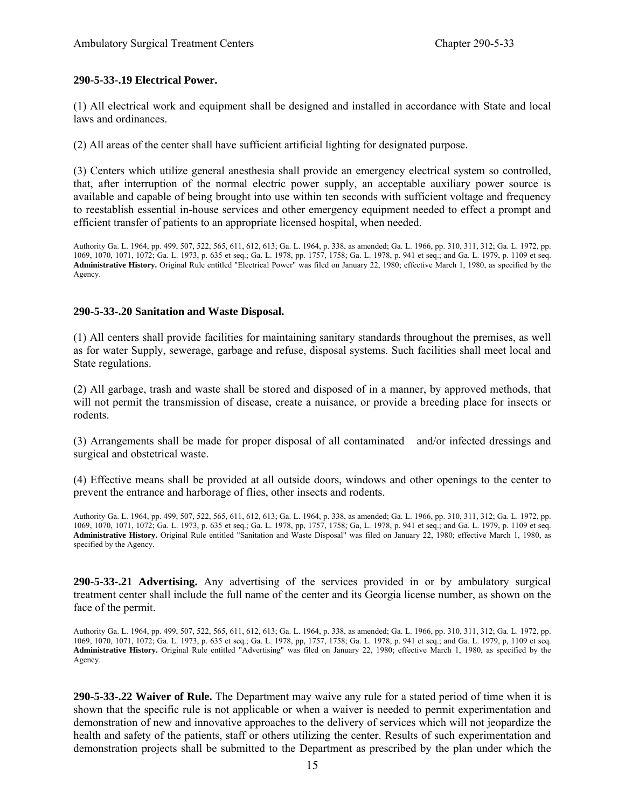#### **290-5-33-.19 Electrical Power.**

(1) All electrical work and equipment shall be designed and installed in accordance with State and local laws and ordinances.

(2) All areas of the center shall have sufficient artificial lighting for designated purpose.

(3) Centers which utilize general anesthesia shall provide an emergency electrical system so controlled, that, after interruption of the normal electric power supply, an acceptable auxiliary power source is available and capable of being brought into use within ten seconds with sufficient voltage and frequency to reestablish essential in-house services and other emergency equipment needed to effect a prompt and efficient transfer of patients to an appropriate licensed hospital, when needed.

Authority Ga. L. 1964, pp. 499, 507, 522, 565, 611, 612, 613; Ga. L. 1964, p. 338, as amended; Ga. L. 1966, pp. 310, 311, 312; Ga. L. 1972, pp. 1069, 1070, 1071, 1072; Ga. L. 1973, p. 635 et seq.; Ga. L. 1978, pp. 1757, 1758; Ga. L. 1978, p. 941 et seq.; and Ga. L. 1979, p. 1109 et seq. **Administrative History.** Original Rule entitled "Electrical Power" was filed on January 22, 1980; effective March 1, 1980, as specified by the Agency.

#### **290-5-33-.20 Sanitation and Waste Disposal.**

(1) All centers shall provide facilities for maintaining sanitary standards throughout the premises, as well as for water Supply, sewerage, garbage and refuse, disposal systems. Such facilities shall meet local and State regulations.

(2) All garbage, trash and waste shall be stored and disposed of in a manner, by approved methods, that will not permit the transmission of disease, create a nuisance, or provide a breeding place for insects or rodents.

(3) Arrangements shall be made for proper disposal of all contaminated and/or infected dressings and surgical and obstetrical waste.

(4) Effective means shall be provided at all outside doors, windows and other openings to the center to prevent the entrance and harborage of flies, other insects and rodents.

Authority Ga. L. 1964, pp. 499, 507, 522, 565, 611, 612, 613; Ga. L. 1964, p. 338, as amended; Ga. L. 1966, pp. 310, 311, 312; Ga. L. 1972, pp. 1069, 1070, 1071, 1072; Ga. L. 1973, p. 635 et seq.; Ga. L. 1978, pp, 1757, 1758; Ga, L. 1978, p. 941 et seq.; and Ga. L. 1979, p. 1109 et seq. **Administrative History.** Original Rule entitled "Sanitation and Waste Disposal" was filed on January 22, 1980; effective March 1, 1980, as specified by the Agency.

**290-5-33-.21 Advertising.** Any advertising of the services provided in or by ambulatory surgical treatment center shall include the full name of the center and its Georgia license number, as shown on the face of the permit.

Authority Ga. L. 1964, pp. 499, 507, 522, 565, 611, 612, 613; Ga. L. 1964, p. 338, as amended; Ga. L. 1966, pp. 310, 311, 312; Ga. L. 1972, pp. 1069, 1070, 1071, 1072; Ga. L. 1973, p. 635 et seq.; Ga. L. 1978, pp, 1757, 1758; Ga. L. 1978, p. 941 et seq.; and Ga. L. 1979, p, 1109 et seq. **Administrative History.** Original Rule entitled "Advertising" was filed on January 22, 1980; effective March 1, 1980, as specified by the Agency.

**290-5-33-.22 Waiver of Rule.** The Department may waive any rule for a stated period of time when it is shown that the specific rule is not applicable or when a waiver is needed to permit experimentation and demonstration of new and innovative approaches to the delivery of services which will not jeopardize the health and safety of the patients, staff or others utilizing the center. Results of such experimentation and demonstration projects shall be submitted to the Department as prescribed by the plan under which the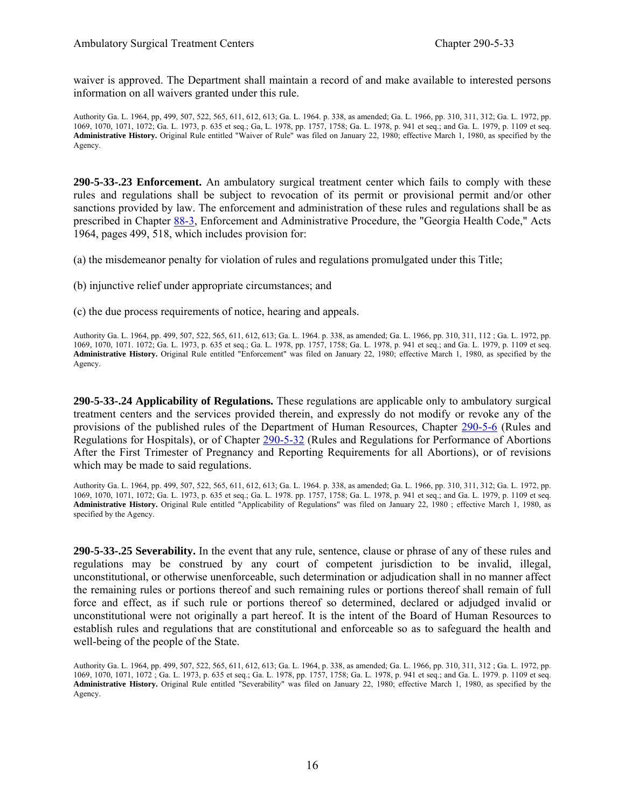waiver is approved. The Department shall maintain a record of and make available to interested persons information on all waivers granted under this rule.

Authority Ga. L. 1964, pp, 499, 507, 522, 565, 611, 612, 613; Ga. L. 1964. p. 338, as amended; Ga. L. 1966, pp. 310, 311, 312; Ga. L. 1972, pp. 1069, 1070, 1071, 1072; Ga. L. 1973, p. 635 et seq.; Ga, L. 1978, pp. 1757, 1758; Ga. L. 1978, p. 941 et seq.; and Ga. L. 1979, p. 1109 et seq. **Administrative History.** Original Rule entitled "Waiver of Rule" was filed on January 22, 1980; effective March 1, 1980, as specified by the Agency.

**290-5-33-.23 Enforcement.** An ambulatory surgical treatment center which fails to comply with these rules and regulations shall be subject to revocation of its permit or provisional permit and/or other sanctions provided by law. The enforcement and administration of these rules and regulations shall be as prescribed in Chapter 88-3, Enforcement and Administrative Procedure, the "Georgia Health Code," Acts 1964, pages 499, 518, which includes provision for:

(a) the misdemeanor penalty for violation of rules and regulations promulgated under this Title;

(b) injunctive relief under appropriate circumstances; and

(c) the due process requirements of notice, hearing and appeals.

Authority Ga. L. 1964, pp. 499, 507, 522, 565, 611, 612, 613; Ga. L. 1964. p. 338, as amended; Ga. L. 1966, pp. 310, 311, 112 ; Ga. L. 1972, pp. 1069, 1070, 1071. 1072; Ga. L. 1973, p. 635 et seq.; Ga. L. 1978, pp. 1757, 1758; Ga. L. 1978, p. 941 et seq.; and Ga. L. 1979, p. 1109 et seq. **Administrative History.** Original Rule entitled "Enforcement" was filed on January 22, 1980; effective March 1, 1980, as specified by the Agency.

**290-5-33-.24 Applicability of Regulations.** These regulations are applicable only to ambulatory surgical treatment centers and the services provided therein, and expressly do not modify or revoke any of the provisions of the published rules of the Department of Human Resources, Chapter 290-5-6 (Rules and Regulations for Hospitals), or of Chapter 290-5-32 (Rules and Regulations for Performance of Abortions After the First Trimester of Pregnancy and Reporting Requirements for all Abortions), or of revisions which may be made to said regulations.

Authority Ga. L. 1964, pp. 499, 507, 522, 565, 611, 612, 613; Ga. L. 1964. p. 338, as amended; Ga. L. 1966, pp. 310, 311, 312; Ga. L. 1972, pp. 1069, 1070, 1071, 1072; Ga. L. 1973, p. 635 et seq.; Ga. L. 1978. pp. 1757, 1758; Ga. L. 1978, p. 941 et seq.; and Ga. L. 1979, p. 1109 et seq. **Administrative History.** Original Rule entitled "Applicability of Regulations" was filed on January 22, 1980 ; effective March 1, 1980, as specified by the Agency.

**290-5-33-.25 Severability.** In the event that any rule, sentence, clause or phrase of any of these rules and regulations may be construed by any court of competent jurisdiction to be invalid, illegal, unconstitutional, or otherwise unenforceable, such determination or adjudication shall in no manner affect the remaining rules or portions thereof and such remaining rules or portions thereof shall remain of full force and effect, as if such rule or portions thereof so determined, declared or adjudged invalid or unconstitutional were not originally a part hereof. It is the intent of the Board of Human Resources to establish rules and regulations that are constitutional and enforceable so as to safeguard the health and well-being of the people of the State.

Authority Ga. L. 1964, pp. 499, 507, 522, 565, 611, 612, 613; Ga. L. 1964, p. 338, as amended; Ga. L. 1966, pp. 310, 311, 312 ; Ga. L. 1972, pp. 1069, 1070, 1071, 1072 ; Ga. L. 1973, p. 635 et seq.; Ga. L. 1978, pp. 1757, 1758; Ga. L. 1978, p. 941 et seq.; and Ga. L. 1979. p. 1109 et seq. **Administrative History.** Original Rule entitled "Severability" was filed on January 22, 1980; effective March 1, 1980, as specified by the Agency.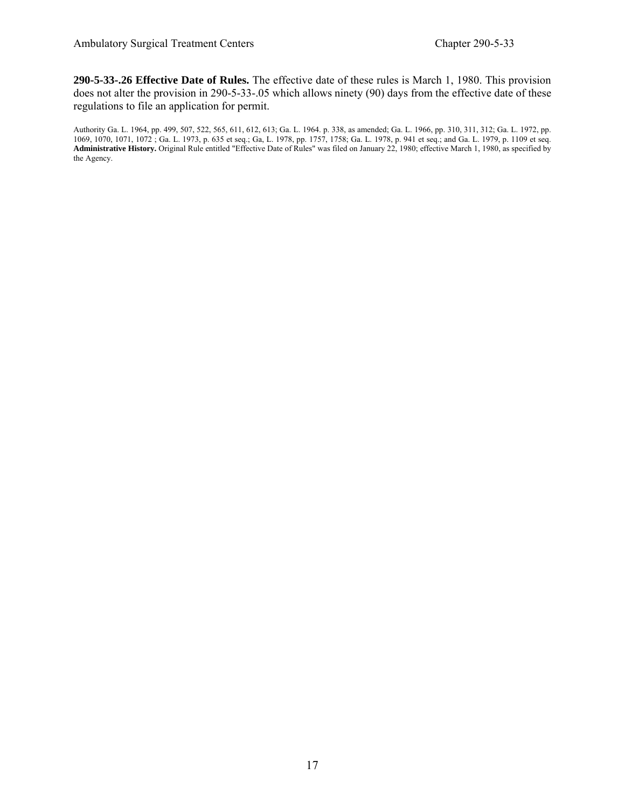**290-5-33-.26 Effective Date of Rules.** The effective date of these rules is March 1, 1980. This provision does not alter the provision in 290-5-33-.05 which allows ninety (90) days from the effective date of these regulations to file an application for permit.

Authority Ga. L. 1964, pp. 499, 507, 522, 565, 611, 612, 613; Ga. L. 1964. p. 338, as amended; Ga. L. 1966, pp. 310, 311, 312; Ga. L. 1972, pp. 1069, 1070, 1071, 1072 ; Ga. L. 1973, p. 635 et seq.; Ga, L. 1978, pp. 1757, 1758; Ga. L. 1978, p. 941 et seq.; and Ga. L. 1979, p. 1109 et seq. **Administrative History.** Original Rule entitled "Effective Date of Rules" was filed on January 22, 1980; effective March 1, 1980, as specified by the Agency.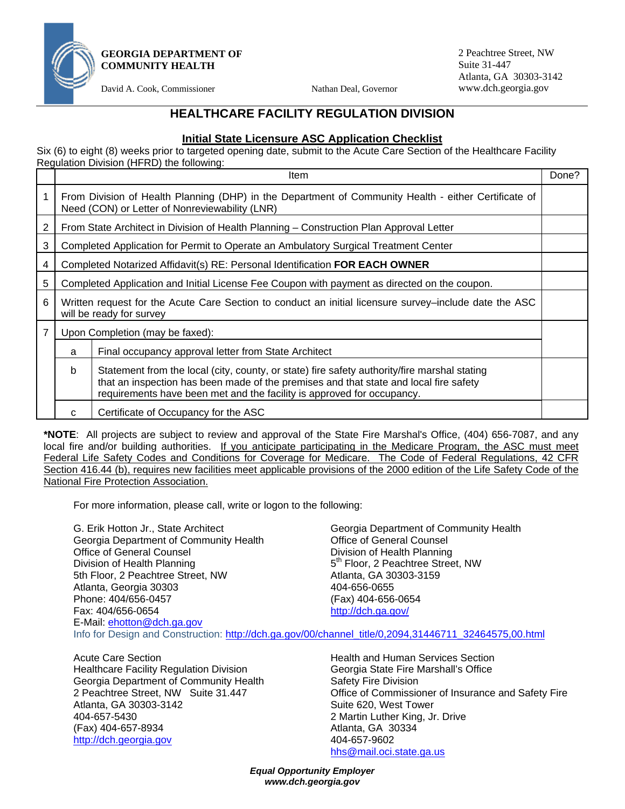

**GEORGIA DEPARTMENT OF COMMUNITY HEALTH** 

David A. Cook, Commissioner Nathan Deal, Governor

2 Peachtree Street, NW Suite 31-447 Atlanta, GA 30303-3142 www.dch.georgia.gov

# **HEALTHCARE FACILITY REGULATION DIVISION**

#### **Initial State Licensure ASC Application Checklist**

Six (6) to eight (8) weeks prior to targeted opening date, submit to the Acute Care Section of the Healthcare Facility Regulation Division (HFRD) the following:

|   |                                                                                                                                                        | Item                                                                                                                                                                                                                                                            | Done? |  |
|---|--------------------------------------------------------------------------------------------------------------------------------------------------------|-----------------------------------------------------------------------------------------------------------------------------------------------------------------------------------------------------------------------------------------------------------------|-------|--|
|   | From Division of Health Planning (DHP) in the Department of Community Health - either Certificate of<br>Need (CON) or Letter of Nonreviewability (LNR) |                                                                                                                                                                                                                                                                 |       |  |
| 2 |                                                                                                                                                        | From State Architect in Division of Health Planning - Construction Plan Approval Letter                                                                                                                                                                         |       |  |
| 3 | Completed Application for Permit to Operate an Ambulatory Surgical Treatment Center                                                                    |                                                                                                                                                                                                                                                                 |       |  |
| 4 | Completed Notarized Affidavit(s) RE: Personal Identification FOR EACH OWNER                                                                            |                                                                                                                                                                                                                                                                 |       |  |
| 5 | Completed Application and Initial License Fee Coupon with payment as directed on the coupon.                                                           |                                                                                                                                                                                                                                                                 |       |  |
| 6 | Written request for the Acute Care Section to conduct an initial licensure survey–include date the ASC<br>will be ready for survey                     |                                                                                                                                                                                                                                                                 |       |  |
| 7 | Upon Completion (may be faxed):                                                                                                                        |                                                                                                                                                                                                                                                                 |       |  |
|   | a                                                                                                                                                      | Final occupancy approval letter from State Architect                                                                                                                                                                                                            |       |  |
|   | b                                                                                                                                                      | Statement from the local (city, county, or state) fire safety authority/fire marshal stating<br>that an inspection has been made of the premises and that state and local fire safety<br>requirements have been met and the facility is approved for occupancy. |       |  |
|   | C                                                                                                                                                      | Certificate of Occupancy for the ASC                                                                                                                                                                                                                            |       |  |

**\*NOTE**: All projects are subject to review and approval of the State Fire Marshal's Office, (404) 656-7087, and any local fire and/or building authorities. If you anticipate participating in the Medicare Program, the ASC must meet Federal Life Safety Codes and Conditions for Coverage for Medicare. The Code of Federal Regulations, 42 CFR Section 416.44 (b), requires new facilities meet applicable provisions of the 2000 edition of the Life Safety Code of the National Fire Protection Association.

For more information, please call, write or logon to the following:

| G. Erik Hotton Jr., State Architect    | Georgia Department of Community Health                                                                |
|----------------------------------------|-------------------------------------------------------------------------------------------------------|
| Georgia Department of Community Health | <b>Office of General Counsel</b>                                                                      |
| <b>Office of General Counsel</b>       | Division of Health Planning                                                                           |
| Division of Health Planning            | 5 <sup>th</sup> Floor, 2 Peachtree Street, NW                                                         |
| 5th Floor, 2 Peachtree Street, NW      | Atlanta, GA 30303-3159                                                                                |
| Atlanta, Georgia 30303                 | 404-656-0655                                                                                          |
| Phone: 404/656-0457                    | (Fax) 404-656-0654                                                                                    |
| Fax: 404/656-0654                      | http://dch.ga.gov/                                                                                    |
| E-Mail: ehotton@dch.ga.gov             |                                                                                                       |
|                                        | Info for Design and Construction: http://dch.ga.gov/00/channel_title/0,2094,31446711_32464575,00.html |

Acute Care Section **Acute Care Section Health and Human Services Section** Healthcare Facility Regulation Division Georgia State Fire Marshall's Office<br>Georgia Department of Community Health Safety Fire Division Georgia Department of Community Health<br>2 Peachtree Street, NW Suite 31,447 Atlanta, GA 30303-3142 **Suite 620, West Tower** Suite 620, West Tower 404-657-5430 2 Martin Luther King, Jr. Drive (Fax) 404-657-8934 Atlanta, GA 30334 http://dch.georgia.gov 404-657-9602

Office of Commissioner of Insurance and Safety Fire hhs@mail.oci.state.ga.us

*Equal Opportunity Employer www.dch.georgia.gov*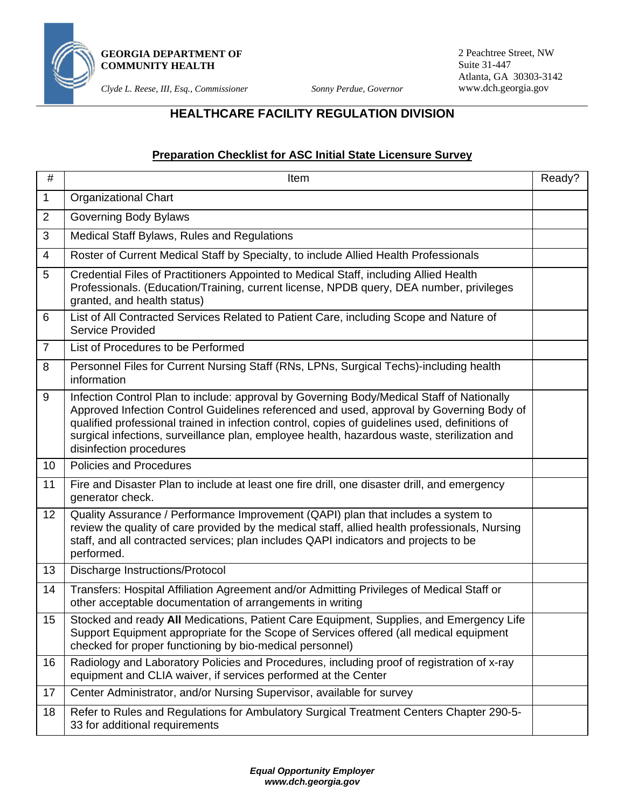

**GEORGIA DEPARTMENT OF COMMUNITY HEALTH** 

*Clyde L. Reese, III, Esq., Commissioner Sonny Perdue, Governor* 

2 Peachtree Street, NW Suite 31-447 Atlanta, GA 30303-3142 www.dch.georgia.gov

# **HEALTHCARE FACILITY REGULATION DIVISION**

# **Preparation Checklist for ASC Initial State Licensure Survey**

| $\#$           | <b>Item</b>                                                                                                                                                                                                                                                                                                                                                                                                       | Ready? |
|----------------|-------------------------------------------------------------------------------------------------------------------------------------------------------------------------------------------------------------------------------------------------------------------------------------------------------------------------------------------------------------------------------------------------------------------|--------|
| $\mathbf{1}$   | <b>Organizational Chart</b>                                                                                                                                                                                                                                                                                                                                                                                       |        |
| 2              | Governing Body Bylaws                                                                                                                                                                                                                                                                                                                                                                                             |        |
| 3              | Medical Staff Bylaws, Rules and Regulations                                                                                                                                                                                                                                                                                                                                                                       |        |
| 4              | Roster of Current Medical Staff by Specialty, to include Allied Health Professionals                                                                                                                                                                                                                                                                                                                              |        |
| 5              | Credential Files of Practitioners Appointed to Medical Staff, including Allied Health<br>Professionals. (Education/Training, current license, NPDB query, DEA number, privileges<br>granted, and health status)                                                                                                                                                                                                   |        |
| 6              | List of All Contracted Services Related to Patient Care, including Scope and Nature of<br><b>Service Provided</b>                                                                                                                                                                                                                                                                                                 |        |
| $\overline{7}$ | List of Procedures to be Performed                                                                                                                                                                                                                                                                                                                                                                                |        |
| 8              | Personnel Files for Current Nursing Staff (RNs, LPNs, Surgical Techs)-including health<br>information                                                                                                                                                                                                                                                                                                             |        |
| 9              | Infection Control Plan to include: approval by Governing Body/Medical Staff of Nationally<br>Approved Infection Control Guidelines referenced and used, approval by Governing Body of<br>qualified professional trained in infection control, copies of guidelines used, definitions of<br>surgical infections, surveillance plan, employee health, hazardous waste, sterilization and<br>disinfection procedures |        |
| 10             | <b>Policies and Procedures</b>                                                                                                                                                                                                                                                                                                                                                                                    |        |
| 11             | Fire and Disaster Plan to include at least one fire drill, one disaster drill, and emergency<br>generator check.                                                                                                                                                                                                                                                                                                  |        |
| 12             | Quality Assurance / Performance Improvement (QAPI) plan that includes a system to<br>review the quality of care provided by the medical staff, allied health professionals, Nursing<br>staff, and all contracted services; plan includes QAPI indicators and projects to be<br>performed.                                                                                                                         |        |
| 13             | <b>Discharge Instructions/Protocol</b>                                                                                                                                                                                                                                                                                                                                                                            |        |
| 14             | Transfers: Hospital Affiliation Agreement and/or Admitting Privileges of Medical Staff or<br>other acceptable documentation of arrangements in writing                                                                                                                                                                                                                                                            |        |
| 15             | Stocked and ready All Medications, Patient Care Equipment, Supplies, and Emergency Life<br>Support Equipment appropriate for the Scope of Services offered (all medical equipment<br>checked for proper functioning by bio-medical personnel)                                                                                                                                                                     |        |
| 16             | Radiology and Laboratory Policies and Procedures, including proof of registration of x-ray<br>equipment and CLIA waiver, if services performed at the Center                                                                                                                                                                                                                                                      |        |
| 17             | Center Administrator, and/or Nursing Supervisor, available for survey                                                                                                                                                                                                                                                                                                                                             |        |
| 18             | Refer to Rules and Regulations for Ambulatory Surgical Treatment Centers Chapter 290-5-<br>33 for additional requirements                                                                                                                                                                                                                                                                                         |        |